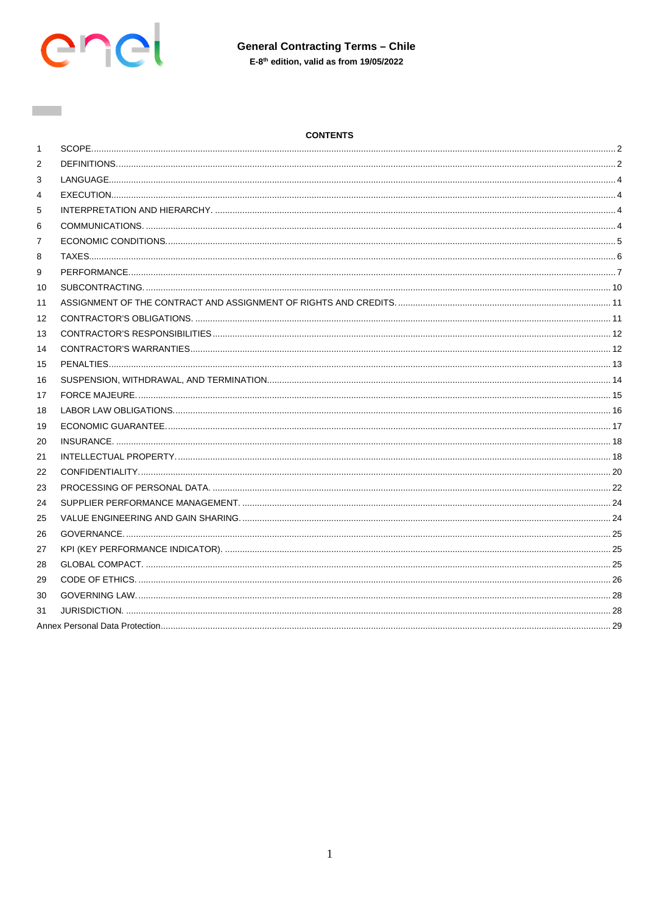

**Contract** 

# **CONTENTS**

| $\mathbf{1}$ |  |
|--------------|--|
| 2            |  |
| 3            |  |
| 4            |  |
| 5            |  |
| 6            |  |
| 7            |  |
| 8            |  |
| 9            |  |
| 10           |  |
| 11           |  |
| 12           |  |
| 13           |  |
| 14           |  |
| 15           |  |
| 16           |  |
| 17           |  |
| 18           |  |
| 19           |  |
| 20           |  |
| 21           |  |
| 22           |  |
| 23           |  |
| 24           |  |
| 25           |  |
| 26           |  |
| 27           |  |
| 28           |  |
| 29           |  |
| 30           |  |
| 31           |  |
|              |  |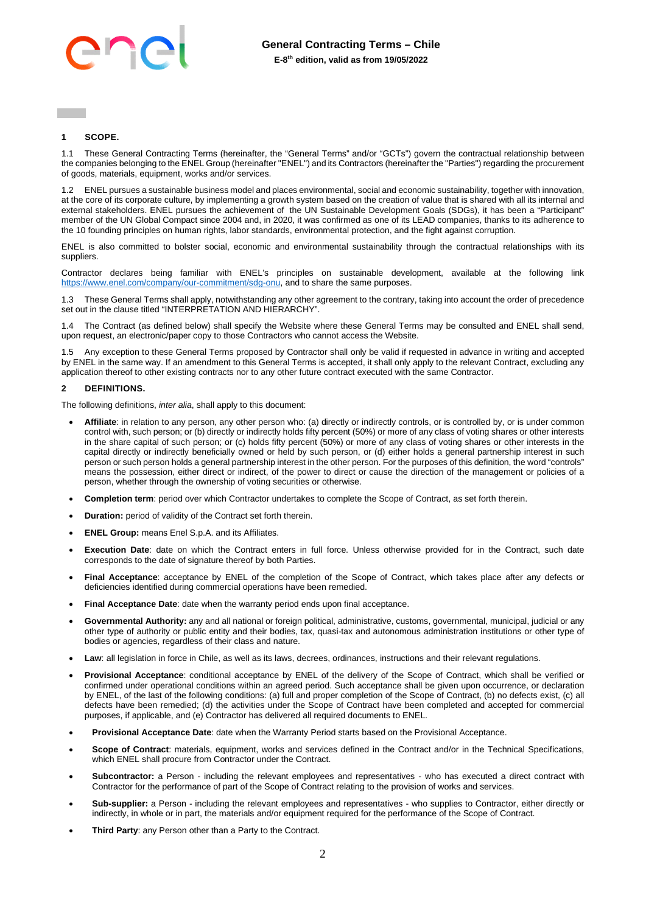

# <span id="page-1-0"></span>**1 SCOPE.**

1.1 These General Contracting Terms (hereinafter, the "General Terms" and/or "GCTs") govern the contractual relationship between the companies belonging to the ENEL Group (hereinafter "ENEL") and its Contractors (hereinafter the "Parties") regarding the procurement of goods, materials, equipment, works and/or services.

1.2 ENEL pursues a sustainable business model and places environmental, social and economic sustainability, together with innovation, at the core of its corporate culture, by implementing a growth system based on the creation of value that is shared with all its internal and external stakeholders. ENEL pursues the achievement of the UN Sustainable Development Goals (SDGs), it has been a "Participant" member of the UN Global Compact since 2004 and, in 2020, it was confirmed as one of its LEAD companies, thanks to its adherence to the 10 founding principles on human rights, labor standards, environmental protection, and the fight against corruption.

ENEL is also committed to bolster social, economic and environmental sustainability through the contractual relationships with its suppliers.

Contractor declares being familiar with ENEL's principles on sustainable development, available at the following link [https://www.enel.com/company/our-commitment/sdg-onu,](https://www.enel.com/company/our-commitment/sdg-onu) and to share the same purposes.

1.3 These General Terms shall apply, notwithstanding any other agreement to the contrary, taking into account the order of precedence set out in the clause titled "INTERPRETATION AND HIERARCHY".

1.4 The Contract (as defined below) shall specify the Website where these General Terms may be consulted and ENEL shall send, upon request, an electronic/paper copy to those Contractors who cannot access the Website.

Any exception to these General Terms proposed by Contractor shall only be valid if requested in advance in writing and accepted by ENEL in the same way. If an amendment to this General Terms is accepted, it shall only apply to the relevant Contract, excluding any application thereof to other existing contracts nor to any other future contract executed with the same Contractor.

### <span id="page-1-1"></span>**2 DEFINITIONS.**

The following definitions, *inter alia*, shall apply to this document:

- **Affiliate**: in relation to any person, any other person who: (a) directly or indirectly controls, or is controlled by, or is under common control with, such person; or (b) directly or indirectly holds fifty percent (50%) or more of any class of voting shares or other interests in the share capital of such person; or (c) holds fifty percent (50%) or more of any class of voting shares or other interests in the capital directly or indirectly beneficially owned or held by such person, or (d) either holds a general partnership interest in such person or such person holds a general partnership interest in the other person. For the purposes of this definition, the word "controls" means the possession, either direct or indirect, of the power to direct or cause the direction of the management or policies of a person, whether through the ownership of voting securities or otherwise.
- **Completion term**: period over which Contractor undertakes to complete the Scope of Contract, as set forth therein.
- **Duration:** period of validity of the Contract set forth therein.
- **ENEL Group:** means Enel S.p.A. and its Affiliates.
- **Execution Date**: date on which the Contract enters in full force. Unless otherwise provided for in the Contract, such date corresponds to the date of signature thereof by both Parties.
- **Final Acceptance**: acceptance by ENEL of the completion of the Scope of Contract, which takes place after any defects or deficiencies identified during commercial operations have been remedied.
- **Final Acceptance Date**: date when the warranty period ends upon final acceptance.
- **Governmental Authority:** any and all national or foreign political, administrative, customs, governmental, municipal, judicial or any other type of authority or public entity and their bodies, tax, quasi-tax and autonomous administration institutions or other type of bodies or agencies, regardless of their class and nature.
- **Law**: all legislation in force in Chile, as well as its laws, decrees, ordinances, instructions and their relevant regulations.
- **Provisional Acceptance**: conditional acceptance by ENEL of the delivery of the Scope of Contract, which shall be verified or confirmed under operational conditions within an agreed period. Such acceptance shall be given upon occurrence, or declaration by ENEL, of the last of the following conditions: (a) full and proper completion of the Scope of Contract, (b) no defects exist, (c) all defects have been remedied; (d) the activities under the Scope of Contract have been completed and accepted for commercial purposes, if applicable, and (e) Contractor has delivered all required documents to ENEL.
- **Provisional Acceptance Date**: date when the Warranty Period starts based on the Provisional Acceptance.
- **Scope of Contract**: materials, equipment, works and services defined in the Contract and/or in the Technical Specifications, which ENEL shall procure from Contractor under the Contract.
- **Subcontractor:** a Person including the relevant employees and representatives who has executed a direct contract with Contractor for the performance of part of the Scope of Contract relating to the provision of works and services.
- **Sub-supplier:** a Person including the relevant employees and representatives who supplies to Contractor, either directly or indirectly, in whole or in part, the materials and/or equipment required for the performance of the Scope of Contract.
- **Third Party**: any Person other than a Party to the Contract.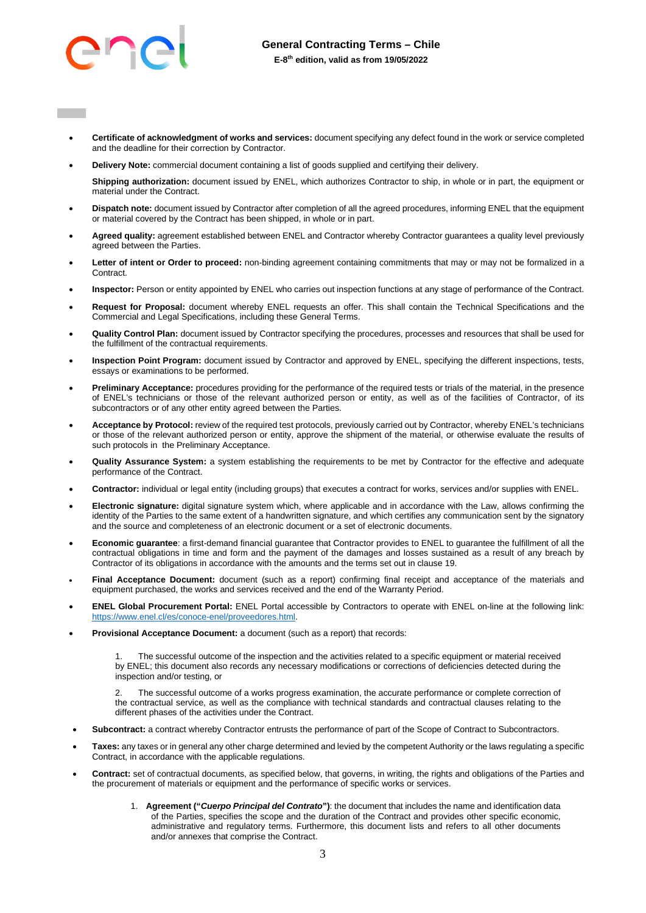

- **Certificate of acknowledgment of works and services:** document specifying any defect found in the work or service completed and the deadline for their correction by Contractor.
- **Delivery Note:** commercial document containing a list of goods supplied and certifying their delivery.

**Shipping authorization:** document issued by ENEL, which authorizes Contractor to ship, in whole or in part, the equipment or material under the Contract.

- **Dispatch note:** document issued by Contractor after completion of all the agreed procedures, informing ENEL that the equipment or material covered by the Contract has been shipped, in whole or in part.
- Agreed quality: agreement established between ENEL and Contractor whereby Contractor guarantees a quality level previously agreed between the Parties.
- **Letter of intent or Order to proceed:** non-binding agreement containing commitments that may or may not be formalized in a Contract.
- **Inspector:** Person or entity appointed by ENEL who carries out inspection functions at any stage of performance of the Contract.
- **Request for Proposal:** document whereby ENEL requests an offer. This shall contain the Technical Specifications and the Commercial and Legal Specifications, including these General Terms.
- **Quality Control Plan:** document issued by Contractor specifying the procedures, processes and resources that shall be used for the fulfillment of the contractual requirements.
- **Inspection Point Program:** document issued by Contractor and approved by ENEL, specifying the different inspections, tests, essays or examinations to be performed.
- **Preliminary Acceptance:** procedures providing for the performance of the required tests or trials of the material, in the presence of ENEL's technicians or those of the relevant authorized person or entity, as well as of the facilities of Contractor, of its subcontractors or of any other entity agreed between the Parties.
- **Acceptance by Protocol:** review of the required test protocols, previously carried out by Contractor, whereby ENEL's technicians or those of the relevant authorized person or entity, approve the shipment of the material, or otherwise evaluate the results of such protocols in the Preliminary Acceptance.
- **Quality Assurance System:** a system establishing the requirements to be met by Contractor for the effective and adequate performance of the Contract.
- **Contractor:** individual or legal entity (including groups) that executes a contract for works, services and/or supplies with ENEL.
- **Electronic signature:** digital signature system which, where applicable and in accordance with the Law, allows confirming the identity of the Parties to the same extent of a handwritten signature, and which certifies any communication sent by the signatory and the source and completeness of an electronic document or a set of electronic documents.
- **Economic guarantee**: a first-demand financial guarantee that Contractor provides to ENEL to guarantee the fulfillment of all the contractual obligations in time and form and the payment of the damages and losses sustained as a result of any breach by Contractor of its obligations in accordance with the amounts and the terms set out in clause 19.
- **Final Acceptance Document:** document (such as a report) confirming final receipt and acceptance of the materials and equipment purchased, the works and services received and the end of the Warranty Period.
- **ENEL Global Procurement Portal:** ENEL Portal accessible by Contractors to operate with ENEL on-line at the following link: [https://www.enel.cl/es/conoce-enel/proveedores.html.](https://www.enel.cl/es/conoce-enel/proveedores.html)
- **Provisional Acceptance Document:** a document (such as a report) that records:

The successful outcome of the inspection and the activities related to a specific equipment or material received by ENEL; this document also records any necessary modifications or corrections of deficiencies detected during the inspection and/or testing, or

2. The successful outcome of a works progress examination, the accurate performance or complete correction of the contractual service, as well as the compliance with technical standards and contractual clauses relating to the different phases of the activities under the Contract.

- **Subcontract:** a contract whereby Contractor entrusts the performance of part of the Scope of Contract to Subcontractors.
- **Taxes:** any taxes or in general any other charge determined and levied by the competent Authority or the laws regulating a specific Contract, in accordance with the applicable regulations.
- **Contract:** set of contractual documents, as specified below, that governs, in writing, the rights and obligations of the Parties and the procurement of materials or equipment and the performance of specific works or services.
	- 1. **Agreement ("***Cuerpo Principal del Contrato***")**: the document that includes the name and identification data of the Parties, specifies the scope and the duration of the Contract and provides other specific economic, administrative and regulatory terms. Furthermore, this document lists and refers to all other documents and/or annexes that comprise the Contract.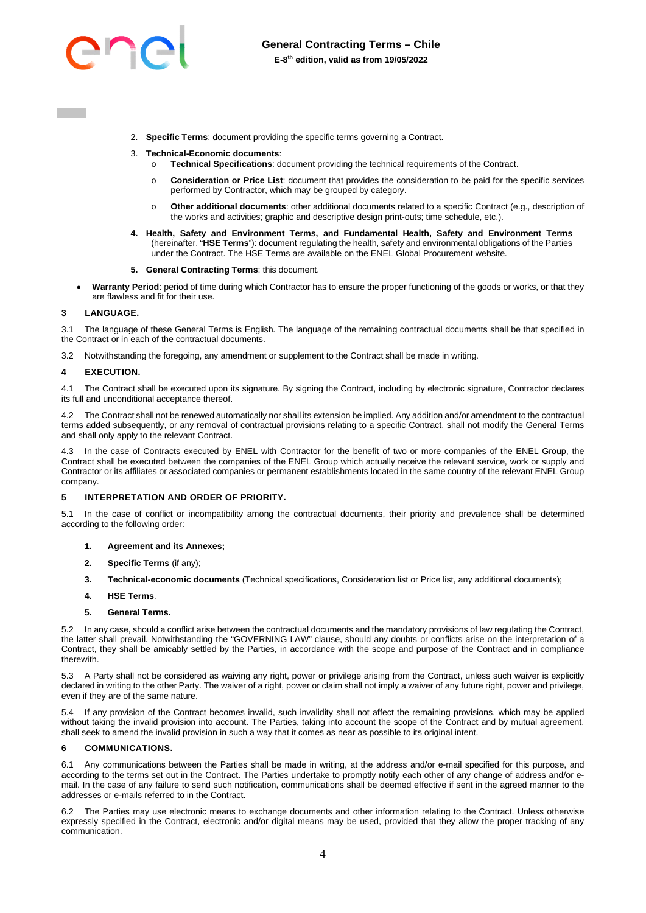

- 2. **Specific Terms**: document providing the specific terms governing a Contract.
- 3. **Technical-Economic documents**:
	- **Technical Specifications: document providing the technical requirements of the Contract.**
	- o **Consideration or Price List**: document that provides the consideration to be paid for the specific services performed by Contractor, which may be grouped by category.
	- o **Other additional documents**: other additional documents related to a specific Contract (e.g., description of the works and activities; graphic and descriptive design print-outs; time schedule, etc.).
- **4. Health, Safety and Environment Terms, and Fundamental Health, Safety and Environment Terms** (hereinafter, "**HSE Terms**"): document regulating the health, safety and environmental obligations of the Parties under the Contract. The HSE Terms are available on the ENEL Global Procurement website.
- **5. General Contracting Terms**: this document.
- **Warranty Period**: period of time during which Contractor has to ensure the proper functioning of the goods or works, or that they are flawless and fit for their use.

#### <span id="page-3-0"></span>**3 LANGUAGE.**

3.1 The language of these General Terms is English. The language of the remaining contractual documents shall be that specified in the Contract or in each of the contractual documents.

3.2 Notwithstanding the foregoing, any amendment or supplement to the Contract shall be made in writing.

#### <span id="page-3-1"></span>**4 EXECUTION.**

4.1 The Contract shall be executed upon its signature. By signing the Contract, including by electronic signature, Contractor declares its full and unconditional acceptance thereof.

4.2 The Contract shall not be renewed automatically nor shall its extension be implied. Any addition and/or amendment to the contractual terms added subsequently, or any removal of contractual provisions relating to a specific Contract, shall not modify the General Terms and shall only apply to the relevant Contract.

<span id="page-3-4"></span>4.3 In the case of Contracts executed by ENEL with Contractor for the benefit of two or more companies of the ENEL Group, the Contract shall be executed between the companies of the ENEL Group which actually receive the relevant service, work or supply and Contractor or its affiliates or associated companies or permanent establishments located in the same country of the relevant ENEL Group company.

#### <span id="page-3-2"></span>**5 INTERPRETATION AND ORDER OF PRIORITY.**

5.1 In the case of conflict or incompatibility among the contractual documents, their priority and prevalence shall be determined according to the following order:

- **1. Agreement and its Annexes;**
- **2. Specific Terms** (if any);
- **3. Technical-economic documents** (Technical specifications, Consideration list or Price list, any additional documents);
- **4. HSE Terms**.
- **5. General Terms.**

5.2 In any case, should a conflict arise between the contractual documents and the mandatory provisions of law regulating the Contract, the latter shall prevail. Notwithstanding the "GOVERNING LAW" clause, should any doubts or conflicts arise on the interpretation of a Contract, they shall be amicably settled by the Parties, in accordance with the scope and purpose of the Contract and in compliance therewith.

5.3 A Party shall not be considered as waiving any right, power or privilege arising from the Contract, unless such waiver is explicitly declared in writing to the other Party. The waiver of a right, power or claim shall not imply a waiver of any future right, power and privilege, even if they are of the same nature.

5.4 If any provision of the Contract becomes invalid, such invalidity shall not affect the remaining provisions, which may be applied without taking the invalid provision into account. The Parties, taking into account the scope of the Contract and by mutual agreement, shall seek to amend the invalid provision in such a way that it comes as near as possible to its original intent.

#### <span id="page-3-3"></span>**6 COMMUNICATIONS.**

6.1 Any communications between the Parties shall be made in writing, at the address and/or e-mail specified for this purpose, and according to the terms set out in the Contract. The Parties undertake to promptly notify each other of any change of address and/or email. In the case of any failure to send such notification, communications shall be deemed effective if sent in the agreed manner to the addresses or e-mails referred to in the Contract.

6.2 The Parties may use electronic means to exchange documents and other information relating to the Contract. Unless otherwise expressly specified in the Contract, electronic and/or digital means may be used, provided that they allow the proper tracking of any communication.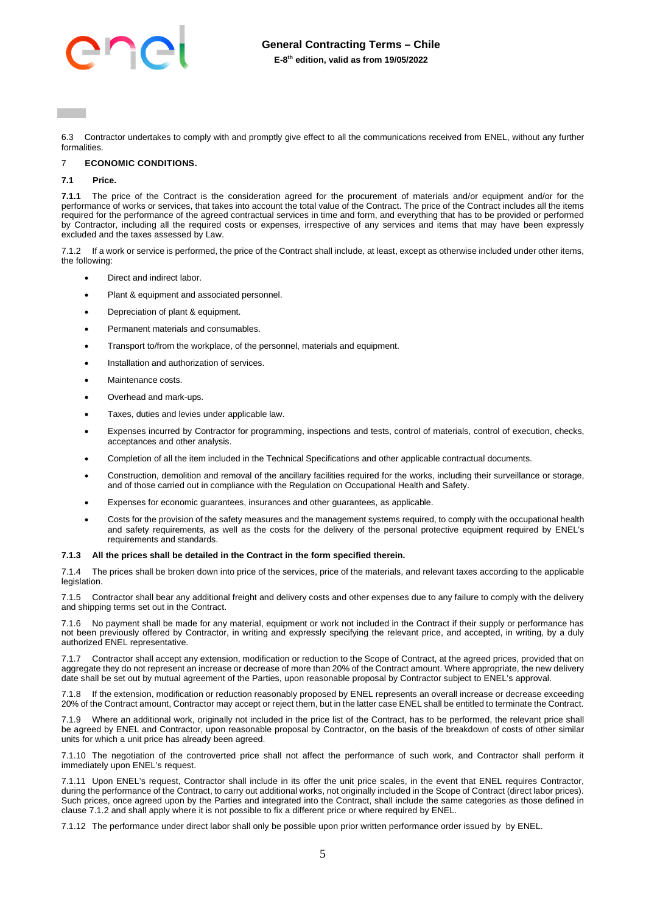

6.3 Contractor undertakes to comply with and promptly give effect to all the communications received from ENEL, without any further formalities.

### <span id="page-4-0"></span>7 **ECONOMIC CONDITIONS.**

#### **7.1 Price.**

**7.1.1** The price of the Contract is the consideration agreed for the procurement of materials and/or equipment and/or for the performance of works or services, that takes into account the total value of the Contract. The price of the Contract includes all the items required for the performance of the agreed contractual services in time and form, and everything that has to be provided or performed by Contractor, including all the required costs or expenses, irrespective of any services and items that may have been expressly excluded and the taxes assessed by Law.

7.1.2 If a work or service is performed, the price of the Contract shall include, at least, except as otherwise included under other items, the following:

- Direct and indirect labor.
- Plant & equipment and associated personnel.
- Depreciation of plant & equipment.
- Permanent materials and consumables.
- Transport to/from the workplace, of the personnel, materials and equipment.
- Installation and authorization of services.
- Maintenance costs.
- Overhead and mark-ups.
- Taxes, duties and levies under applicable law.
- Expenses incurred by Contractor for programming, inspections and tests, control of materials, control of execution, checks, acceptances and other analysis.
- Completion of all the item included in the Technical Specifications and other applicable contractual documents.
- Construction, demolition and removal of the ancillary facilities required for the works, including their surveillance or storage, and of those carried out in compliance with the Regulation on Occupational Health and Safety.
- Expenses for economic guarantees, insurances and other guarantees, as applicable.
- Costs for the provision of the safety measures and the management systems required, to comply with the occupational health and safety requirements, as well as the costs for the delivery of the personal protective equipment required by ENEL's requirements and standards.

#### **7.1.3 All the prices shall be detailed in the Contract in the form specified therein.**

The prices shall be broken down into price of the services, price of the materials, and relevant taxes according to the applicable legislation.

7.1.5 Contractor shall bear any additional freight and delivery costs and other expenses due to any failure to comply with the delivery and shipping terms set out in the Contract.

7.1.6 No payment shall be made for any material, equipment or work not included in the Contract if their supply or performance has not been previously offered by Contractor, in writing and expressly specifying the relevant price, and accepted, in writing, by a duly authorized ENEL representative.

7.1.7 Contractor shall accept any extension, modification or reduction to the Scope of Contract, at the agreed prices, provided that on aggregate they do not represent an increase or decrease of more than 20% of the Contract amount. Where appropriate, the new delivery date shall be set out by mutual agreement of the Parties, upon reasonable proposal by Contractor subject to ENEL's approval.

7.1.8 If the extension, modification or reduction reasonably proposed by ENEL represents an overall increase or decrease exceeding 20% of the Contract amount, Contractor may accept or reject them, but in the latter case ENEL shall be entitled to terminate the Contract.

7.1.9 Where an additional work, originally not included in the price list of the Contract, has to be performed, the relevant price shall be agreed by ENEL and Contractor, upon reasonable proposal by Contractor, on the basis of the breakdown of costs of other similar units for which a unit price has already been agreed.

7.1.10 The negotiation of the controverted price shall not affect the performance of such work, and Contractor shall perform it immediately upon ENEL's request.

7.1.11 Upon ENEL's request, Contractor shall include in its offer the unit price scales, in the event that ENEL requires Contractor, during the performance of the Contract, to carry out additional works, not originally included in the Scope of Contract (direct labor prices). Such prices, once agreed upon by the Parties and integrated into the Contract, shall include the same categories as those defined in clause 7.1.2 and shall apply where it is not possible to fix a different price or where required by ENEL.

7.1.12 The performance under direct labor shall only be possible upon prior written performance order issued by by ENEL.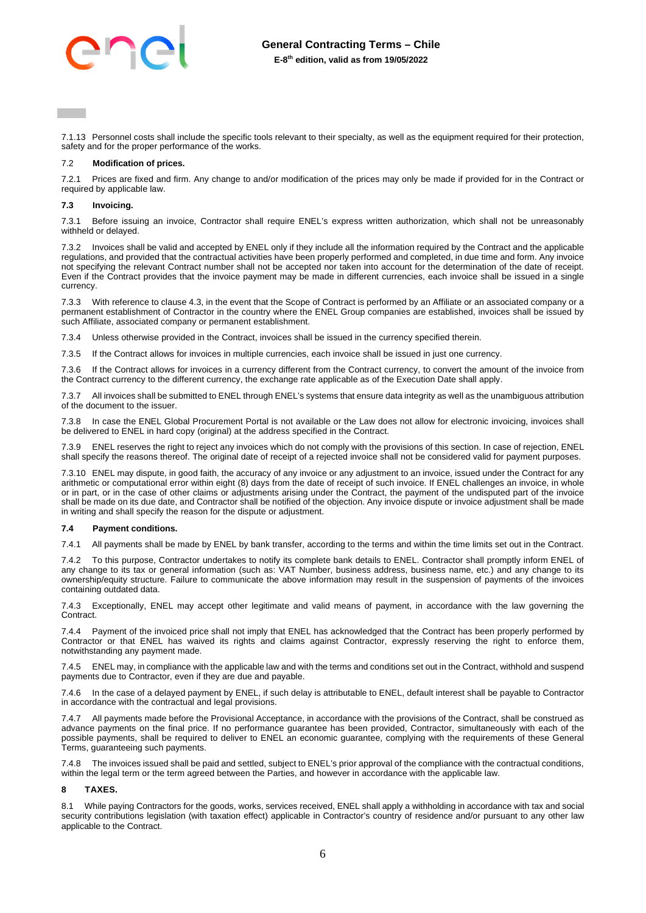**E-8 th edition, valid as from 19/05/2022**

7.1.13 Personnel costs shall include the specific tools relevant to their specialty, as well as the equipment required for their protection, safety and for the proper performance of the works.

#### 7.2 **Modification of prices.**

7.2.1 Prices are fixed and firm. Any change to and/or modification of the prices may only be made if provided for in the Contract or required by applicable law.

### **7.3 Invoicing.**

7.3.1 Before issuing an invoice, Contractor shall require ENEL's express written authorization, which shall not be unreasonably withheld or delayed.

7.3.2 Invoices shall be valid and accepted by ENEL only if they include all the information required by the Contract and the applicable regulations, and provided that the contractual activities have been properly performed and completed, in due time and form. Any invoice not specifying the relevant Contract number shall not be accepted nor taken into account for the determination of the date of receipt. Even if the Contract provides that the invoice payment may be made in different currencies, each invoice shall be issued in a single currency.

7.3.3 With reference to claus[e 4.3,](#page-3-4) in the event that the Scope of Contract is performed by an Affiliate or an associated company or a permanent establishment of Contractor in the country where the ENEL Group companies are established, invoices shall be issued by such Affiliate, associated company or permanent establishment.

7.3.4 Unless otherwise provided in the Contract, invoices shall be issued in the currency specified therein.

7.3.5 If the Contract allows for invoices in multiple currencies, each invoice shall be issued in just one currency.

7.3.6 If the Contract allows for invoices in a currency different from the Contract currency, to convert the amount of the invoice from the Contract currency to the different currency, the exchange rate applicable as of the Execution Date shall apply.

All invoices shall be submitted to ENEL through ENEL's systems that ensure data integrity as well as the unambiguous attribution of the document to the issuer.

7.3.8 In case the ENEL Global Procurement Portal is not available or the Law does not allow for electronic invoicing, invoices shall be delivered to ENEL in hard copy (original) at the address specified in the Contract.

ENEL reserves the right to reject any invoices which do not comply with the provisions of this section. In case of rejection, ENEL shall specify the reasons thereof. The original date of receipt of a rejected invoice shall not be considered valid for payment purposes.

7.3.10 ENEL may dispute, in good faith, the accuracy of any invoice or any adjustment to an invoice, issued under the Contract for any arithmetic or computational error within eight (8) days from the date of receipt of such invoice. If ENEL challenges an invoice, in whole or in part, or in the case of other claims or adjustments arising under the Contract, the payment of the undisputed part of the invoice shall be made on its due date, and Contractor shall be notified of the objection. Any invoice dispute or invoice adjustment shall be made in writing and shall specify the reason for the dispute or adjustment.

#### **7.4 Payment conditions.**

7.4.1 All payments shall be made by ENEL by bank transfer, according to the terms and within the time limits set out in the Contract.

7.4.2 To this purpose, Contractor undertakes to notify its complete bank details to ENEL. Contractor shall promptly inform ENEL of any change to its tax or general information (such as: VAT Number, business address, business name, etc.) and any change to its ownership/equity structure. Failure to communicate the above information may result in the suspension of payments of the invoices containing outdated data.

7.4.3 Exceptionally, ENEL may accept other legitimate and valid means of payment, in accordance with the law governing the Contract.

7.4.4 Payment of the invoiced price shall not imply that ENEL has acknowledged that the Contract has been properly performed by Contractor or that ENEL has waived its rights and claims against Contractor, expressly reserving the right to enforce them, notwithstanding any payment made.

7.4.5 ENEL may, in compliance with the applicable law and with the terms and conditions set out in the Contract, withhold and suspend payments due to Contractor, even if they are due and payable.

7.4.6 In the case of a delayed payment by ENEL, if such delay is attributable to ENEL, default interest shall be payable to Contractor in accordance with the contractual and legal provisions.

All payments made before the Provisional Acceptance, in accordance with the provisions of the Contract, shall be construed as advance payments on the final price. If no performance guarantee has been provided, Contractor, simultaneously with each of the possible payments, shall be required to deliver to ENEL an economic guarantee, complying with the requirements of these General Terms, guaranteeing such payments.

The invoices issued shall be paid and settled, subject to ENEL's prior approval of the compliance with the contractual conditions, within the legal term or the term agreed between the Parties, and however in accordance with the applicable law.

# <span id="page-5-0"></span>**8 TAXES.**

8.1 While paying Contractors for the goods, works, services received, ENEL shall apply a withholding in accordance with tax and social security contributions legislation (with taxation effect) applicable in Contractor's country of residence and/or pursuant to any other law applicable to the Contract.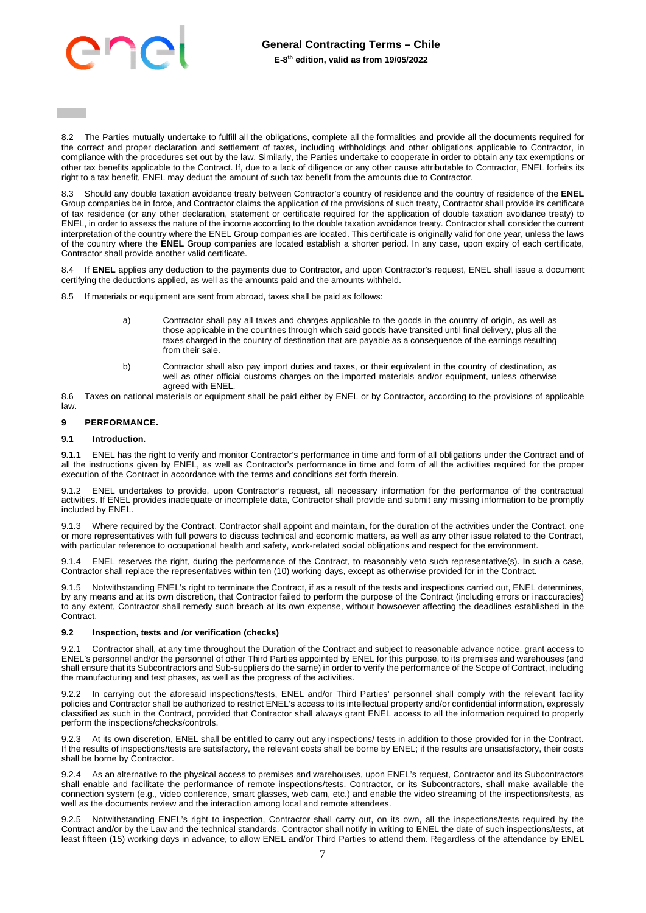

8.2 The Parties mutually undertake to fulfill all the obligations, complete all the formalities and provide all the documents required for the correct and proper declaration and settlement of taxes, including withholdings and other obligations applicable to Contractor, in compliance with the procedures set out by the law. Similarly, the Parties undertake to cooperate in order to obtain any tax exemptions or other tax benefits applicable to the Contract. If, due to a lack of diligence or any other cause attributable to Contractor, ENEL forfeits its right to a tax benefit, ENEL may deduct the amount of such tax benefit from the amounts due to Contractor.

8.3 Should any double taxation avoidance treaty between Contractor's country of residence and the country of residence of the **ENEL** Group companies be in force, and Contractor claims the application of the provisions of such treaty, Contractor shall provide its certificate of tax residence (or any other declaration, statement or certificate required for the application of double taxation avoidance treaty) to ENEL, in order to assess the nature of the income according to the double taxation avoidance treaty. Contractor shall consider the current interpretation of the country where the ENEL Group companies are located. This certificate is originally valid for one year, unless the laws of the country where the **ENEL** Group companies are located establish a shorter period. In any case, upon expiry of each certificate, Contractor shall provide another valid certificate.

8.4 If **ENEL** applies any deduction to the payments due to Contractor, and upon Contractor's request, ENEL shall issue a document certifying the deductions applied, as well as the amounts paid and the amounts withheld.

8.5 If materials or equipment are sent from abroad, taxes shall be paid as follows:

- a) Contractor shall pay all taxes and charges applicable to the goods in the country of origin, as well as those applicable in the countries through which said goods have transited until final delivery, plus all the taxes charged in the country of destination that are payable as a consequence of the earnings resulting from their sale.
- b) Contractor shall also pay import duties and taxes, or their equivalent in the country of destination, as well as other official customs charges on the imported materials and/or equipment, unless otherwise agreed with ENEL.

8.6 Taxes on national materials or equipment shall be paid either by ENEL or by Contractor, according to the provisions of applicable law.

#### <span id="page-6-0"></span>**9 PERFORMANCE.**

#### **9.1 Introduction.**

**9.1.1** ENEL has the right to verify and monitor Contractor's performance in time and form of all obligations under the Contract and of all the instructions given by ENEL, as well as Contractor's performance in time and form of all the activities required for the proper execution of the Contract in accordance with the terms and conditions set forth therein.

9.1.2 ENEL undertakes to provide, upon Contractor's request, all necessary information for the performance of the contractual activities. If ENEL provides inadequate or incomplete data, Contractor shall provide and submit any missing information to be promptly included by ENEL.

9.1.3 Where required by the Contract, Contractor shall appoint and maintain, for the duration of the activities under the Contract, one or more representatives with full powers to discuss technical and economic matters, as well as any other issue related to the Contract, with particular reference to occupational health and safety, work-related social obligations and respect for the environment.

9.1.4 ENEL reserves the right, during the performance of the Contract, to reasonably veto such representative(s). In such a case, Contractor shall replace the representatives within ten (10) working days, except as otherwise provided for in the Contract.

9.1.5 Notwithstanding ENEL's right to terminate the Contract, if as a result of the tests and inspections carried out, ENEL determines, by any means and at its own discretion, that Contractor failed to perform the purpose of the Contract (including errors or inaccuracies) to any extent, Contractor shall remedy such breach at its own expense, without howsoever affecting the deadlines established in the Contract.

#### **9.2 Inspection, tests and /or verification (checks)**

9.2.1 Contractor shall, at any time throughout the Duration of the Contract and subject to reasonable advance notice, grant access to ENEL's personnel and/or the personnel of other Third Parties appointed by ENEL for this purpose, to its premises and warehouses (and shall ensure that its Subcontractors and Sub-suppliers do the same) in order to verify the performance of the Scope of Contract, including the manufacturing and test phases, as well as the progress of the activities.

9.2.2 In carrying out the aforesaid inspections/tests, ENEL and/or Third Parties' personnel shall comply with the relevant facility policies and Contractor shall be authorized to restrict ENEL's access to its intellectual property and/or confidential information, expressly classified as such in the Contract, provided that Contractor shall always grant ENEL access to all the information required to properly perform the inspections/checks/controls.

9.2.3 At its own discretion, ENEL shall be entitled to carry out any inspections/ tests in addition to those provided for in the Contract. If the results of inspections/tests are satisfactory, the relevant costs shall be borne by ENEL; if the results are unsatisfactory, their costs shall be borne by Contractor.

9.2.4 As an alternative to the physical access to premises and warehouses, upon ENEL's request, Contractor and its Subcontractors shall enable and facilitate the performance of remote inspections/tests. Contractor, or its Subcontractors, shall make available the connection system (e.g., video conference, smart glasses, web cam, etc.) and enable the video streaming of the inspections/tests, as well as the documents review and the interaction among local and remote attendees.

9.2.5 Notwithstanding ENEL's right to inspection, Contractor shall carry out, on its own, all the inspections/tests required by the Contract and/or by the Law and the technical standards. Contractor shall notify in writing to ENEL the date of such inspections/tests, at least fifteen (15) working days in advance, to allow ENEL and/or Third Parties to attend them. Regardless of the attendance by ENEL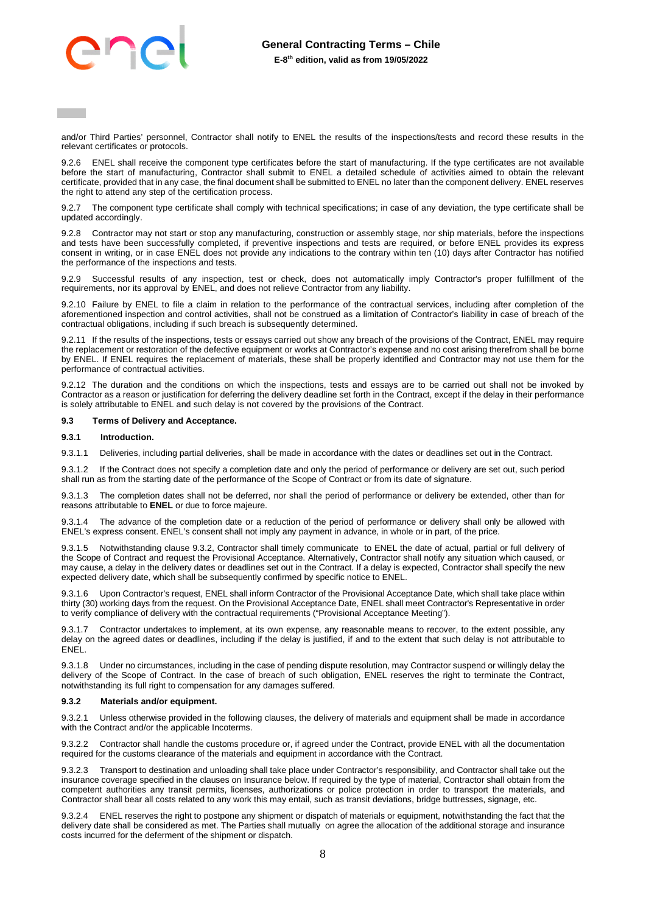and/or Third Parties' personnel, Contractor shall notify to ENEL the results of the inspections/tests and record these results in the relevant certificates or protocols.

9.2.6 ENEL shall receive the component type certificates before the start of manufacturing. If the type certificates are not available before the start of manufacturing, Contractor shall submit to ENEL a detailed schedule of activities aimed to obtain the relevant certificate, provided that in any case, the final document shall be submitted to ENEL no later than the component delivery. ENEL reserves the right to attend any step of the certification process.

9.2.7 The component type certificate shall comply with technical specifications; in case of any deviation, the type certificate shall be updated accordingly.

9.2.8 Contractor may not start or stop any manufacturing, construction or assembly stage, nor ship materials, before the inspections and tests have been successfully completed, if preventive inspections and tests are required, or before ENEL provides its express consent in writing, or in case ENEL does not provide any indications to the contrary within ten (10) days after Contractor has notified the performance of the inspections and tests.

9.2.9 Successful results of any inspection, test or check, does not automatically imply Contractor's proper fulfillment of the requirements, nor its approval by ENEL, and does not relieve Contractor from any liability.

9.2.10 Failure by ENEL to file a claim in relation to the performance of the contractual services, including after completion of the aforementioned inspection and control activities, shall not be construed as a limitation of Contractor's liability in case of breach of the contractual obligations, including if such breach is subsequently determined.

9.2.11 If the results of the inspections, tests or essays carried out show any breach of the provisions of the Contract, ENEL may require the replacement or restoration of the defective equipment or works at Contractor's expense and no cost arising therefrom shall be borne by ENEL. If ENEL requires the replacement of materials, these shall be properly identified and Contractor may not use them for the performance of contractual activities.

9.2.12 The duration and the conditions on which the inspections, tests and essays are to be carried out shall not be invoked by Contractor as a reason or justification for deferring the delivery deadline set forth in the Contract, except if the delay in their performance is solely attributable to ENEL and such delay is not covered by the provisions of the Contract.

### **9.3 Terms of Delivery and Acceptance.**

#### **9.3.1 Introduction.**

9.3.1.1 Deliveries, including partial deliveries, shall be made in accordance with the dates or deadlines set out in the Contract.

9.3.1.2 If the Contract does not specify a completion date and only the period of performance or delivery are set out, such period shall run as from the starting date of the performance of the Scope of Contract or from its date of signature.

The completion dates shall not be deferred, nor shall the period of performance or delivery be extended, other than for reasons attributable to **ENEL** or due to force majeure.

9.3.1.4 The advance of the completion date or a reduction of the period of performance or delivery shall only be allowed with ENEL's express consent. ENEL's consent shall not imply any payment in advance, in whole or in part, of the price.

9.3.1.5 Notwithstanding clause 9.3.2, Contractor shall timely communicate to ENEL the date of actual, partial or full delivery of the Scope of Contract and request the Provisional Acceptance. Alternatively, Contractor shall notify any situation which caused, or may cause, a delay in the delivery dates or deadlines set out in the Contract. If a delay is expected, Contractor shall specify the new expected delivery date, which shall be subsequently confirmed by specific notice to ENEL.

9.3.1.6 Upon Contractor's request, ENEL shall inform Contractor of the Provisional Acceptance Date, which shall take place within thirty (30) working days from the request. On the Provisional Acceptance Date, ENEL shall meet Contractor's Representative in order to verify compliance of delivery with the contractual requirements ("Provisional Acceptance Meeting").

9.3.1.7 Contractor undertakes to implement, at its own expense, any reasonable means to recover, to the extent possible, any delay on the agreed dates or deadlines, including if the delay is justified, if and to the extent that such delay is not attributable to ENEL.

9.3.1.8 Under no circumstances, including in the case of pending dispute resolution, may Contractor suspend or willingly delay the delivery of the Scope of Contract. In the case of breach of such obligation, ENEL reserves the right to terminate the Contract, notwithstanding its full right to compensation for any damages suffered.

#### **9.3.2 Materials and/or equipment.**

9.3.2.1 Unless otherwise provided in the following clauses, the delivery of materials and equipment shall be made in accordance with the Contract and/or the applicable Incoterms.

9.3.2.2 Contractor shall handle the customs procedure or, if agreed under the Contract, provide ENEL with all the documentation required for the customs clearance of the materials and equipment in accordance with the Contract.

9.3.2.3 Transport to destination and unloading shall take place under Contractor's responsibility, and Contractor shall take out the insurance coverage specified in the clauses on Insurance below. If required by the type of material, Contractor shall obtain from the competent authorities any transit permits, licenses, authorizations or police protection in order to transport the materials, and Contractor shall bear all costs related to any work this may entail, such as transit deviations, bridge buttresses, signage, etc.

9.3.2.4 ENEL reserves the right to postpone any shipment or dispatch of materials or equipment, notwithstanding the fact that the delivery date shall be considered as met. The Parties shall mutually on agree the allocation of the additional storage and insurance costs incurred for the deferment of the shipment or dispatch.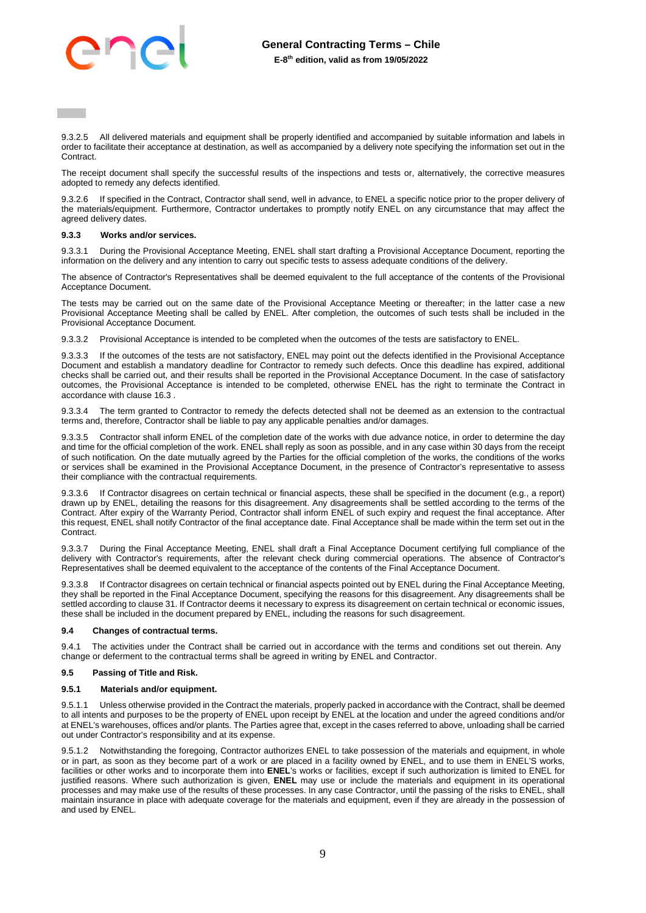9.3.2.5 All delivered materials and equipment shall be properly identified and accompanied by suitable information and labels in order to facilitate their acceptance at destination, as well as accompanied by a delivery note specifying the information set out in the Contract.

The receipt document shall specify the successful results of the inspections and tests or, alternatively, the corrective measures adopted to remedy any defects identified.

9.3.2.6 If specified in the Contract, Contractor shall send, well in advance, to ENEL a specific notice prior to the proper delivery of the materials/equipment. Furthermore, Contractor undertakes to promptly notify ENEL on any circumstance that may affect the agreed delivery dates.

#### **9.3.3 Works and/or services.**

9.3.3.1 During the Provisional Acceptance Meeting, ENEL shall start drafting a Provisional Acceptance Document, reporting the information on the delivery and any intention to carry out specific tests to assess adequate conditions of the delivery.

The absence of Contractor's Representatives shall be deemed equivalent to the full acceptance of the contents of the Provisional Acceptance Document.

The tests may be carried out on the same date of the Provisional Acceptance Meeting or thereafter; in the latter case a new Provisional Acceptance Meeting shall be called by ENEL. After completion, the outcomes of such tests shall be included in the Provisional Acceptance Document.

9.3.3.2 Provisional Acceptance is intended to be completed when the outcomes of the tests are satisfactory to ENEL.

9.3.3.3 If the outcomes of the tests are not satisfactory, ENEL may point out the defects identified in the Provisional Acceptance Document and establish a mandatory deadline for Contractor to remedy such defects. Once this deadline has expired, additional checks shall be carried out, and their results shall be reported in the Provisional Acceptance Document. In the case of satisfactory outcomes, the Provisional Acceptance is intended to be completed, otherwise ENEL has the right to terminate the Contract in accordance with clause [16.3 .](#page-13-1)

9.3.3.4 The term granted to Contractor to remedy the defects detected shall not be deemed as an extension to the contractual terms and, therefore, Contractor shall be liable to pay any applicable penalties and/or damages.

Contractor shall inform ENEL of the completion date of the works with due advance notice, in order to determine the day and time for the official completion of the work. ENEL shall reply as soon as possible, and in any case within 30 days from the receipt of such notification. On the date mutually agreed by the Parties for the official completion of the works, the conditions of the works or services shall be examined in the Provisional Acceptance Document, in the presence of Contractor's representative to assess their compliance with the contractual requirements.

9.3.3.6 If Contractor disagrees on certain technical or financial aspects, these shall be specified in the document (e.g., a report) drawn up by ENEL, detailing the reasons for this disagreement. Any disagreements shall be settled according to the terms of the Contract. After expiry of the Warranty Period, Contractor shall inform ENEL of such expiry and request the final acceptance. After this request, ENEL shall notify Contractor of the final acceptance date. Final Acceptance shall be made within the term set out in the Contract.

9.3.3.7 During the Final Acceptance Meeting, ENEL shall draft a Final Acceptance Document certifying full compliance of the delivery with Contractor's requirements, after the relevant check during commercial operations. The absence of Contractor's Representatives shall be deemed equivalent to the acceptance of the contents of the Final Acceptance Document.

9.3.3.8 If Contractor disagrees on certain technical or financial aspects pointed out by ENEL during the Final Acceptance Meeting, they shall be reported in the Final Acceptance Document, specifying the reasons for this disagreement. Any disagreements shall be settled according to claus[e 31.](#page-27-1) If Contractor deems it necessary to express its disagreement on certain technical or economic issues, these shall be included in the document prepared by ENEL, including the reasons for such disagreement.

#### <span id="page-8-0"></span>**9.4 Changes of contractual terms.**

9.4.1 The activities under the Contract shall be carried out in accordance with the terms and conditions set out therein. Any change or deferment to the contractual terms shall be agreed in writing by ENEL and Contractor.

# **9.5 Passing of Title and Risk.**

#### **9.5.1 Materials and/or equipment.**

9.5.1.1 Unless otherwise provided in the Contract the materials, properly packed in accordance with the Contract, shall be deemed to all intents and purposes to be the property of ENEL upon receipt by ENEL at the location and under the agreed conditions and/or at ENEL's warehouses, offices and/or plants. The Parties agree that, except in the cases referred to above, unloading shall be carried out under Contractor's responsibility and at its expense.

9.5.1.2 Notwithstanding the foregoing, Contractor authorizes ENEL to take possession of the materials and equipment, in whole or in part, as soon as they become part of a work or are placed in a facility owned by ENEL, and to use them in ENEL'S works, facilities or other works and to incorporate them into **ENEL**'s works or facilities, except if such authorization is limited to ENEL for justified reasons. Where such authorization is given, **ENEL** may use or include the materials and equipment in its operational processes and may make use of the results of these processes. In any case Contractor, until the passing of the risks to ENEL, shall maintain insurance in place with adequate coverage for the materials and equipment, even if they are already in the possession of and used by ENEL.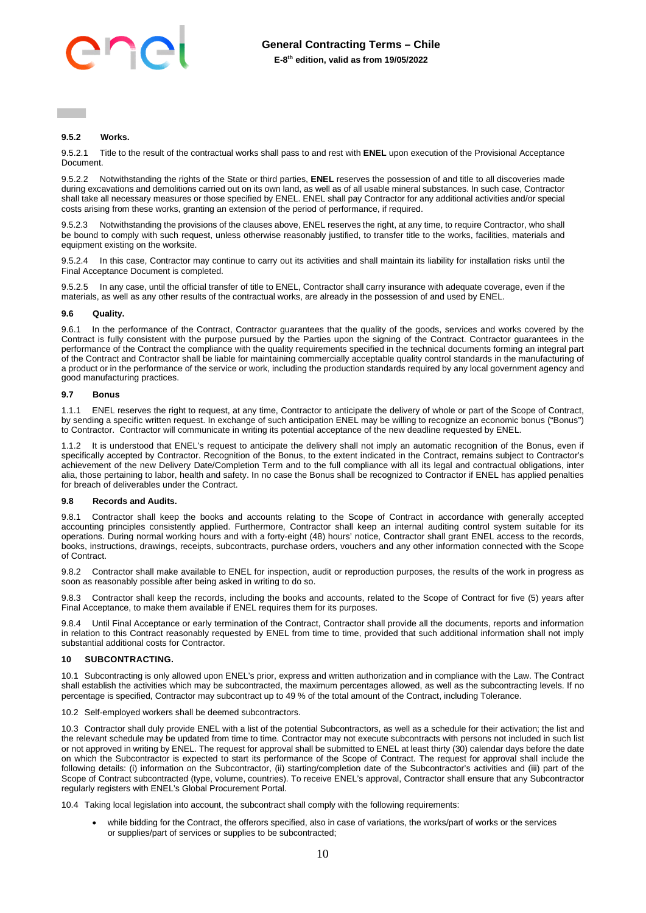# **9.5.2 Works.**

9.5.2.1 Title to the result of the contractual works shall pass to and rest with **ENEL** upon execution of the Provisional Acceptance Document.

9.5.2.2 Notwithstanding the rights of the State or third parties, **ENEL** reserves the possession of and title to all discoveries made during excavations and demolitions carried out on its own land, as well as of all usable mineral substances. In such case, Contractor shall take all necessary measures or those specified by ENEL. ENEL shall pay Contractor for any additional activities and/or special costs arising from these works, granting an extension of the period of performance, if required.

9.5.2.3 Notwithstanding the provisions of the clauses above, ENEL reserves the right, at any time, to require Contractor, who shall be bound to comply with such request, unless otherwise reasonably justified, to transfer title to the works, facilities, materials and equipment existing on the worksite.

9.5.2.4 In this case, Contractor may continue to carry out its activities and shall maintain its liability for installation risks until the Final Acceptance Document is completed.

9.5.2.5 In any case, until the official transfer of title to ENEL, Contractor shall carry insurance with adequate coverage, even if the materials, as well as any other results of the contractual works, are already in the possession of and used by ENEL.

# **9.6 Quality.**

9.6.1 In the performance of the Contract, Contractor guarantees that the quality of the goods, services and works covered by the Contract is fully consistent with the purpose pursued by the Parties upon the signing of the Contract. Contractor guarantees in the performance of the Contract the compliance with the quality requirements specified in the technical documents forming an integral part of the Contract and Contractor shall be liable for maintaining commercially acceptable quality control standards in the manufacturing of a product or in the performance of the service or work, including the production standards required by any local government agency and good manufacturing practices.

#### **9.7 Bonus**

1.1.1 ENEL reserves the right to request, at any time, Contractor to anticipate the delivery of whole or part of the Scope of Contract, by sending a specific written request. In exchange of such anticipation ENEL may be willing to recognize an economic bonus ("Bonus") to Contractor. Contractor will communicate in writing its potential acceptance of the new deadline requested by ENEL.

1.1.2 It is understood that ENEL's request to anticipate the delivery shall not imply an automatic recognition of the Bonus, even if specifically accepted by Contractor. Recognition of the Bonus, to the extent indicated in the Contract, remains subject to Contractor's achievement of the new Delivery Date/Completion Term and to the full compliance with all its legal and contractual obligations, inter alia, those pertaining to labor, health and safety. In no case the Bonus shall be recognized to Contractor if ENEL has applied penalties for breach of deliverables under the Contract.

#### **9.8 Records and Audits.**

9.8.1 Contractor shall keep the books and accounts relating to the Scope of Contract in accordance with generally accepted accounting principles consistently applied. Furthermore, Contractor shall keep an internal auditing control system suitable for its operations. During normal working hours and with a forty-eight (48) hours' notice, Contractor shall grant ENEL access to the records, books, instructions, drawings, receipts, subcontracts, purchase orders, vouchers and any other information connected with the Scope of Contract.

9.8.2 Contractor shall make available to ENEL for inspection, audit or reproduction purposes, the results of the work in progress as soon as reasonably possible after being asked in writing to do so.

9.8.3 Contractor shall keep the records, including the books and accounts, related to the Scope of Contract for five (5) years after Final Acceptance, to make them available if ENEL requires them for its purposes.

9.8.4 Until Final Acceptance or early termination of the Contract, Contractor shall provide all the documents, reports and information in relation to this Contract reasonably requested by ENEL from time to time, provided that such additional information shall not imply substantial additional costs for Contractor.

#### <span id="page-9-0"></span>**10 SUBCONTRACTING.**

10.1 Subcontracting is only allowed upon ENEL's prior, express and written authorization and in compliance with the Law. The Contract shall establish the activities which may be subcontracted, the maximum percentages allowed, as well as the subcontracting levels. If no percentage is specified, Contractor may subcontract up to 49 % of the total amount of the Contract, including Tolerance.

10.2 Self-employed workers shall be deemed subcontractors.

10.3 Contractor shall duly provide ENEL with a list of the potential Subcontractors, as well as a schedule for their activation; the list and the relevant schedule may be updated from time to time. Contractor may not execute subcontracts with persons not included in such list or not approved in writing by ENEL. The request for approval shall be submitted to ENEL at least thirty (30) calendar days before the date on which the Subcontractor is expected to start its performance of the Scope of Contract. The request for approval shall include the following details: (i) information on the Subcontractor, (ii) starting/completion date of the Subcontractor's activities and (iii) part of the Scope of Contract subcontracted (type, volume, countries). To receive ENEL's approval, Contractor shall ensure that any Subcontractor regularly registers with ENEL's Global Procurement Portal.

10.4 Taking local legislation into account, the subcontract shall comply with the following requirements:

 while bidding for the Contract, the offerors specified, also in case of variations, the works/part of works or the services or supplies/part of services or supplies to be subcontracted;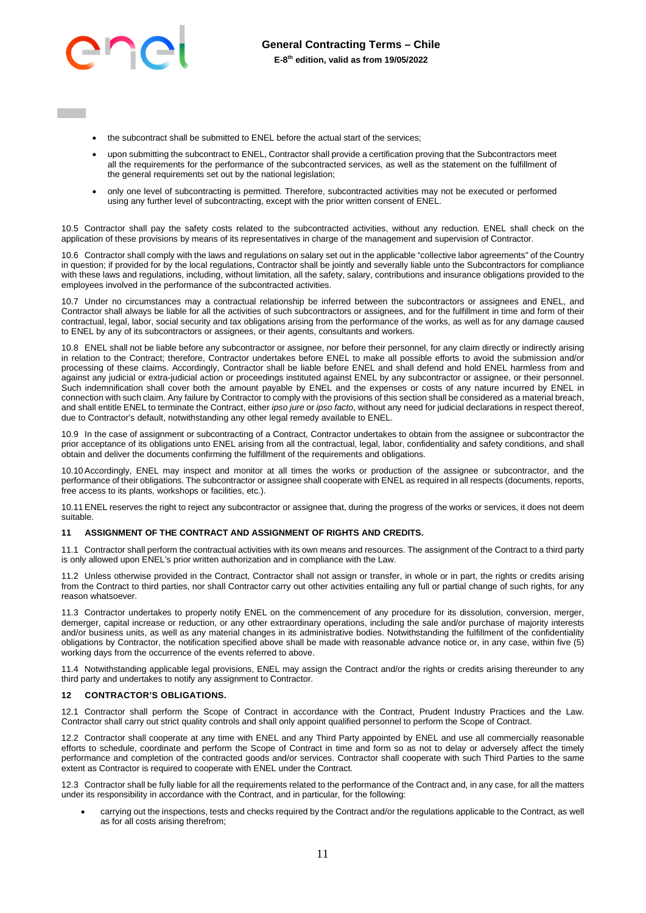

- the subcontract shall be submitted to ENEL before the actual start of the services;
- upon submitting the subcontract to ENEL, Contractor shall provide a certification proving that the Subcontractors meet all the requirements for the performance of the subcontracted services, as well as the statement on the fulfillment of the general requirements set out by the national legislation:
- only one level of subcontracting is permitted. Therefore, subcontracted activities may not be executed or performed using any further level of subcontracting, except with the prior written consent of ENEL.

10.5 Contractor shall pay the safety costs related to the subcontracted activities, without any reduction. ENEL shall check on the application of these provisions by means of its representatives in charge of the management and supervision of Contractor.

10.6 Contractor shall comply with the laws and regulations on salary set out in the applicable "collective labor agreements" of the Country in question; if provided for by the local regulations, Contractor shall be jointly and severally liable unto the Subcontractors for compliance with these laws and regulations, including, without limitation, all the safety, salary, contributions and insurance obligations provided to the employees involved in the performance of the subcontracted activities.

10.7 Under no circumstances may a contractual relationship be inferred between the subcontractors or assignees and ENEL, and Contractor shall always be liable for all the activities of such subcontractors or assignees, and for the fulfillment in time and form of their contractual, legal, labor, social security and tax obligations arising from the performance of the works, as well as for any damage caused to ENEL by any of its subcontractors or assignees, or their agents, consultants and workers.

10.8 ENEL shall not be liable before any subcontractor or assignee, nor before their personnel, for any claim directly or indirectly arising in relation to the Contract; therefore, Contractor undertakes before ENEL to make all possible efforts to avoid the submission and/or processing of these claims. Accordingly, Contractor shall be liable before ENEL and shall defend and hold ENEL harmless from and against any judicial or extra-judicial action or proceedings instituted against ENEL by any subcontractor or assignee, or their personnel. Such indemnification shall cover both the amount payable by ENEL and the expenses or costs of any nature incurred by ENEL in connection with such claim. Any failure by Contractor to comply with the provisions of this section shall be considered as a material breach, and shall entitle ENEL to terminate the Contract, either *ipso jure* or *ipso facto*, without any need for judicial declarations in respect thereof, due to Contractor's default, notwithstanding any other legal remedy available to ENEL.

10.9 In the case of assignment or subcontracting of a Contract, Contractor undertakes to obtain from the assignee or subcontractor the prior acceptance of its obligations unto ENEL arising from all the contractual, legal, labor, confidentiality and safety conditions, and shall obtain and deliver the documents confirming the fulfillment of the requirements and obligations.

10.10 Accordingly, ENEL may inspect and monitor at all times the works or production of the assignee or subcontractor, and the performance of their obligations. The subcontractor or assignee shall cooperate with ENEL as required in all respects (documents, reports, free access to its plants, workshops or facilities, etc.).

10.11 ENEL reserves the right to reject any subcontractor or assignee that, during the progress of the works or services, it does not deem suitable.

#### <span id="page-10-0"></span>**11 ASSIGNMENT OF THE CONTRACT AND ASSIGNMENT OF RIGHTS AND CREDITS.**

11.1 Contractor shall perform the contractual activities with its own means and resources. The assignment of the Contract to a third party is only allowed upon ENEL's prior written authorization and in compliance with the Law.

11.2 Unless otherwise provided in the Contract, Contractor shall not assign or transfer, in whole or in part, the rights or credits arising from the Contract to third parties, nor shall Contractor carry out other activities entailing any full or partial change of such rights, for any reason whatsoever.

11.3 Contractor undertakes to properly notify ENEL on the commencement of any procedure for its dissolution, conversion, merger, demerger, capital increase or reduction, or any other extraordinary operations, including the sale and/or purchase of majority interests and/or business units, as well as any material changes in its administrative bodies. Notwithstanding the fulfillment of the confidentiality obligations by Contractor, the notification specified above shall be made with reasonable advance notice or, in any case, within five (5) working days from the occurrence of the events referred to above.

11.4 Notwithstanding applicable legal provisions, ENEL may assign the Contract and/or the rights or credits arising thereunder to any third party and undertakes to notify any assignment to Contractor.

#### <span id="page-10-1"></span>**12 CONTRACTOR'S OBLIGATIONS.**

12.1 Contractor shall perform the Scope of Contract in accordance with the Contract, Prudent Industry Practices and the Law. Contractor shall carry out strict quality controls and shall only appoint qualified personnel to perform the Scope of Contract.

12.2 Contractor shall cooperate at any time with ENEL and any Third Party appointed by ENEL and use all commercially reasonable efforts to schedule, coordinate and perform the Scope of Contract in time and form so as not to delay or adversely affect the timely performance and completion of the contracted goods and/or services. Contractor shall cooperate with such Third Parties to the same extent as Contractor is required to cooperate with ENEL under the Contract.

12.3 Contractor shall be fully liable for all the requirements related to the performance of the Contract and, in any case, for all the matters under its responsibility in accordance with the Contract, and in particular, for the following:

 carrying out the inspections, tests and checks required by the Contract and/or the regulations applicable to the Contract, as well as for all costs arising therefrom;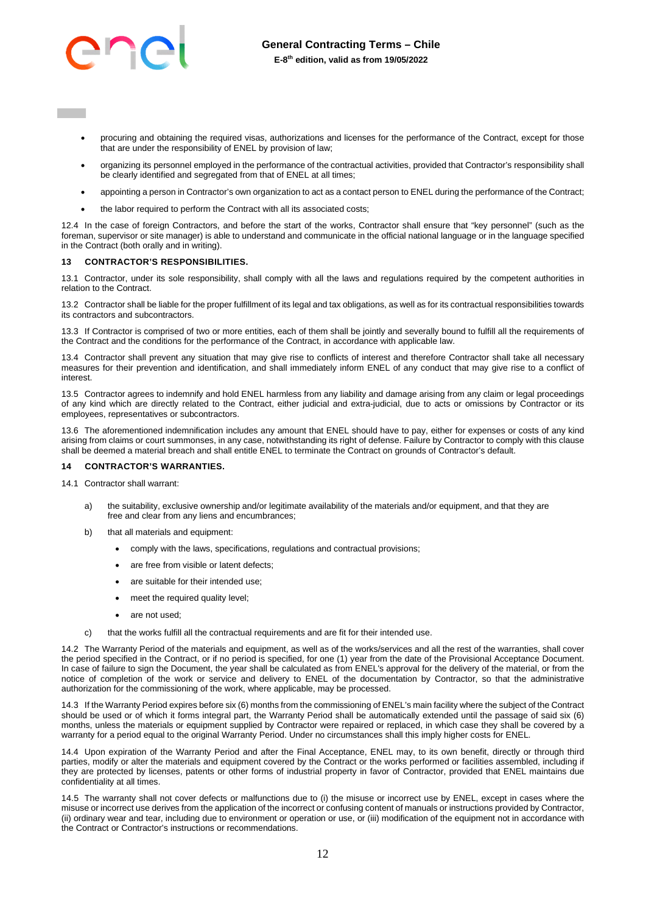

- procuring and obtaining the required visas, authorizations and licenses for the performance of the Contract, except for those that are under the responsibility of ENEL by provision of law;
- organizing its personnel employed in the performance of the contractual activities, provided that Contractor's responsibility shall be clearly identified and segregated from that of ENEL at all times;
- appointing a person in Contractor's own organization to act as a contact person to ENEL during the performance of the Contract;
- the labor required to perform the Contract with all its associated costs;

12.4 In the case of foreign Contractors, and before the start of the works, Contractor shall ensure that "key personnel" (such as the foreman, supervisor or site manager) is able to understand and communicate in the official national language or in the language specified in the Contract (both orally and in writing).

#### <span id="page-11-0"></span>**13 CONTRACTOR'S RESPONSIBILITIES.**

13.1 Contractor, under its sole responsibility, shall comply with all the laws and regulations required by the competent authorities in relation to the Contract.

13.2 Contractor shall be liable for the proper fulfillment of its legal and tax obligations, as well as for its contractual responsibilities towards its contractors and subcontractors.

13.3 If Contractor is comprised of two or more entities, each of them shall be jointly and severally bound to fulfill all the requirements of the Contract and the conditions for the performance of the Contract, in accordance with applicable law.

13.4 Contractor shall prevent any situation that may give rise to conflicts of interest and therefore Contractor shall take all necessary measures for their prevention and identification, and shall immediately inform ENEL of any conduct that may give rise to a conflict of interest.

13.5 Contractor agrees to indemnify and hold ENEL harmless from any liability and damage arising from any claim or legal proceedings of any kind which are directly related to the Contract, either judicial and extra-judicial, due to acts or omissions by Contractor or its employees, representatives or subcontractors.

13.6 The aforementioned indemnification includes any amount that ENEL should have to pay, either for expenses or costs of any kind arising from claims or court summonses, in any case, notwithstanding its right of defense. Failure by Contractor to comply with this clause shall be deemed a material breach and shall entitle ENEL to terminate the Contract on grounds of Contractor's default.

### <span id="page-11-1"></span>**14 CONTRACTOR'S WARRANTIES.**

- 14.1 Contractor shall warrant:
	- a) the suitability, exclusive ownership and/or legitimate availability of the materials and/or equipment, and that they are free and clear from any liens and encumbrances;
	- b) that all materials and equipment:
		- comply with the laws, specifications, regulations and contractual provisions;
		- are free from visible or latent defects;
		- are suitable for their intended use;
		- meet the required quality level;
		- are not used;
		- that the works fulfill all the contractual requirements and are fit for their intended use.

14.2 The Warranty Period of the materials and equipment, as well as of the works/services and all the rest of the warranties, shall cover the period specified in the Contract, or if no period is specified, for one (1) year from the date of the Provisional Acceptance Document. In case of failure to sign the Document, the year shall be calculated as from ENEL's approval for the delivery of the material, or from the notice of completion of the work or service and delivery to ENEL of the documentation by Contractor, so that the administrative authorization for the commissioning of the work, where applicable, may be processed.

14.3 If the Warranty Period expires before six (6) months from the commissioning of ENEL's main facility where the subject of the Contract should be used or of which it forms integral part, the Warranty Period shall be automatically extended until the passage of said six (6) months, unless the materials or equipment supplied by Contractor were repaired or replaced, in which case they shall be covered by a warranty for a period equal to the original Warranty Period. Under no circumstances shall this imply higher costs for ENEL.

14.4 Upon expiration of the Warranty Period and after the Final Acceptance, ENEL may, to its own benefit, directly or through third parties, modify or alter the materials and equipment covered by the Contract or the works performed or facilities assembled, including if they are protected by licenses, patents or other forms of industrial property in favor of Contractor, provided that ENEL maintains due confidentiality at all times.

14.5 The warranty shall not cover defects or malfunctions due to (i) the misuse or incorrect use by ENEL, except in cases where the misuse or incorrect use derives from the application of the incorrect or confusing content of manuals or instructions provided by Contractor, (ii) ordinary wear and tear, including due to environment or operation or use, or (iii) modification of the equipment not in accordance with the Contract or Contractor's instructions or recommendations.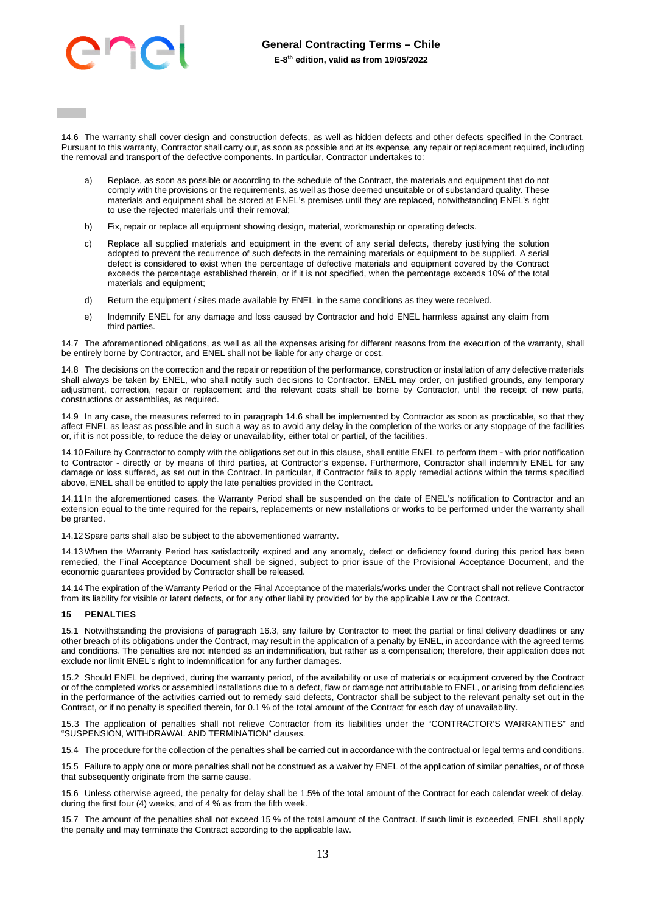

14.6 The warranty shall cover design and construction defects, as well as hidden defects and other defects specified in the Contract. Pursuant to this warranty, Contractor shall carry out, as soon as possible and at its expense, any repair or replacement required, including the removal and transport of the defective components. In particular, Contractor undertakes to:

- a) Replace, as soon as possible or according to the schedule of the Contract, the materials and equipment that do not comply with the provisions or the requirements, as well as those deemed unsuitable or of substandard quality. These materials and equipment shall be stored at ENEL's premises until they are replaced, notwithstanding ENEL's right to use the rejected materials until their removal;
- b) Fix, repair or replace all equipment showing design, material, workmanship or operating defects.
- c) Replace all supplied materials and equipment in the event of any serial defects, thereby justifying the solution adopted to prevent the recurrence of such defects in the remaining materials or equipment to be supplied. A serial defect is considered to exist when the percentage of defective materials and equipment covered by the Contract exceeds the percentage established therein, or if it is not specified, when the percentage exceeds 10% of the total materials and equipment;
- d) Return the equipment / sites made available by ENEL in the same conditions as they were received.
- e) Indemnify ENEL for any damage and loss caused by Contractor and hold ENEL harmless against any claim from third parties.

14.7 The aforementioned obligations, as well as all the expenses arising for different reasons from the execution of the warranty, shall be entirely borne by Contractor, and ENEL shall not be liable for any charge or cost.

14.8 The decisions on the correction and the repair or repetition of the performance, construction or installation of any defective materials shall always be taken by ENEL, who shall notify such decisions to Contractor. ENEL may order, on justified grounds, any temporary adjustment, correction, repair or replacement and the relevant costs shall be borne by Contractor, until the receipt of new parts, constructions or assemblies, as required.

14.9 In any case, the measures referred to in paragraph 14.6 shall be implemented by Contractor as soon as practicable, so that they affect ENEL as least as possible and in such a way as to avoid any delay in the completion of the works or any stoppage of the facilities or, if it is not possible, to reduce the delay or unavailability, either total or partial, of the facilities.

14.10 Failure by Contractor to comply with the obligations set out in this clause, shall entitle ENEL to perform them - with prior notification to Contractor - directly or by means of third parties, at Contractor's expense. Furthermore, Contractor shall indemnify ENEL for any damage or loss suffered, as set out in the Contract. In particular, if Contractor fails to apply remedial actions within the terms specified above, ENEL shall be entitled to apply the late penalties provided in the Contract.

14.11 In the aforementioned cases, the Warranty Period shall be suspended on the date of ENEL's notification to Contractor and an extension equal to the time required for the repairs, replacements or new installations or works to be performed under the warranty shall be granted.

14.12 Spare parts shall also be subject to the abovementioned warranty.

14.13 When the Warranty Period has satisfactorily expired and any anomaly, defect or deficiency found during this period has been remedied, the Final Acceptance Document shall be signed, subject to prior issue of the Provisional Acceptance Document, and the economic guarantees provided by Contractor shall be released.

14.14 The expiration of the Warranty Period or the Final Acceptance of the materials/works under the Contract shall not relieve Contractor from its liability for visible or latent defects, or for any other liability provided for by the applicable Law or the Contract.

#### <span id="page-12-0"></span>**15 PENALTIES**

15.1 Notwithstanding the provisions of paragraph [16.3,](#page-13-1) any failure by Contractor to meet the partial or final delivery deadlines or any other breach of its obligations under the Contract, may result in the application of a penalty by ENEL, in accordance with the agreed terms and conditions. The penalties are not intended as an indemnification, but rather as a compensation; therefore, their application does not exclude nor limit ENEL's right to indemnification for any further damages.

15.2 Should ENEL be deprived, during the warranty period, of the availability or use of materials or equipment covered by the Contract or of the completed works or assembled installations due to a defect, flaw or damage not attributable to ENEL, or arising from deficiencies in the performance of the activities carried out to remedy said defects, Contractor shall be subject to the relevant penalty set out in the Contract, or if no penalty is specified therein, for 0.1 % of the total amount of the Contract for each day of unavailability.

15.3 The application of penalties shall not relieve Contractor from its liabilities under the "CONTRACTOR'S WARRANTIES" and "SUSPENSION, WITHDRAWAL AND TERMINATION" clauses.

15.4 The procedure for the collection of the penalties shall be carried out in accordance with the contractual or legal terms and conditions.

15.5 Failure to apply one or more penalties shall not be construed as a waiver by ENEL of the application of similar penalties, or of those that subsequently originate from the same cause.

15.6 Unless otherwise agreed, the penalty for delay shall be 1.5% of the total amount of the Contract for each calendar week of delay, during the first four (4) weeks, and of 4 % as from the fifth week.

15.7 The amount of the penalties shall not exceed 15 % of the total amount of the Contract. If such limit is exceeded, ENEL shall apply the penalty and may terminate the Contract according to the applicable law.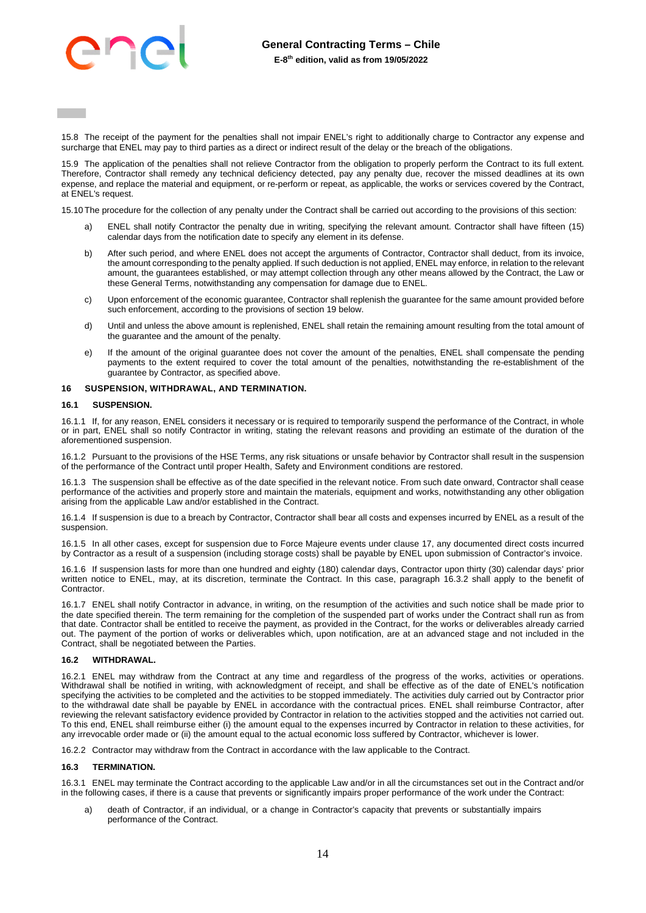15.8 The receipt of the payment for the penalties shall not impair ENEL's right to additionally charge to Contractor any expense and surcharge that ENEL may pay to third parties as a direct or indirect result of the delay or the breach of the obligations.

15.9 The application of the penalties shall not relieve Contractor from the obligation to properly perform the Contract to its full extent. Therefore, Contractor shall remedy any technical deficiency detected, pay any penalty due, recover the missed deadlines at its own expense, and replace the material and equipment, or re-perform or repeat, as applicable, the works or services covered by the Contract, at ENEL's request.

15.10 The procedure for the collection of any penalty under the Contract shall be carried out according to the provisions of this section:

- ENEL shall notify Contractor the penalty due in writing, specifying the relevant amount. Contractor shall have fifteen (15) calendar days from the notification date to specify any element in its defense.
- b) After such period, and where ENEL does not accept the arguments of Contractor, Contractor shall deduct, from its invoice, the amount corresponding to the penalty applied. If such deduction is not applied, ENEL may enforce, in relation to the relevant amount, the guarantees established, or may attempt collection through any other means allowed by the Contract, the Law or these General Terms, notwithstanding any compensation for damage due to ENEL.
- c) Upon enforcement of the economic guarantee, Contractor shall replenish the guarantee for the same amount provided before such enforcement, according to the provisions of section 19 below.
- d) Until and unless the above amount is replenished, ENEL shall retain the remaining amount resulting from the total amount of the guarantee and the amount of the penalty.
- e) If the amount of the original guarantee does not cover the amount of the penalties, ENEL shall compensate the pending payments to the extent required to cover the total amount of the penalties, notwithstanding the re-establishment of the guarantee by Contractor, as specified above.

### <span id="page-13-0"></span>**16 SUSPENSION, WITHDRAWAL, AND TERMINATION.**

#### **16.1 SUSPENSION.**

16.1.1 If, for any reason, ENEL considers it necessary or is required to temporarily suspend the performance of the Contract, in whole or in part, ENEL shall so notify Contractor in writing, stating the relevant reasons and providing an estimate of the duration of the aforementioned suspension.

16.1.2 Pursuant to the provisions of the HSE Terms, any risk situations or unsafe behavior by Contractor shall result in the suspension of the performance of the Contract until proper Health, Safety and Environment conditions are restored.

16.1.3 The suspension shall be effective as of the date specified in the relevant notice. From such date onward, Contractor shall cease performance of the activities and properly store and maintain the materials, equipment and works, notwithstanding any other obligation arising from the applicable Law and/or established in the Contract.

16.1.4 If suspension is due to a breach by Contractor, Contractor shall bear all costs and expenses incurred by ENEL as a result of the suspension.

16.1.5 In all other cases, except for suspension due to Force Majeure events under clause 17, any documented direct costs incurred by Contractor as a result of a suspension (including storage costs) shall be payable by ENEL upon submission of Contractor's invoice.

16.1.6 If suspension lasts for more than one hundred and eighty (180) calendar days, Contractor upon thirty (30) calendar days' prior written notice to ENEL, may, at its discretion, terminate the Contract. In this case, paragraph 16.3.2 shall apply to the benefit of Contractor.

16.1.7 ENEL shall notify Contractor in advance, in writing, on the resumption of the activities and such notice shall be made prior to the date specified therein. The term remaining for the completion of the suspended part of works under the Contract shall run as from that date. Contractor shall be entitled to receive the payment, as provided in the Contract, for the works or deliverables already carried out. The payment of the portion of works or deliverables which, upon notification, are at an advanced stage and not included in the Contract, shall be negotiated between the Parties.

### **16.2 WITHDRAWAL.**

16.2.1 ENEL may withdraw from the Contract at any time and regardless of the progress of the works, activities or operations. Withdrawal shall be notified in writing, with acknowledgment of receipt, and shall be effective as of the date of ENEL's notification specifying the activities to be completed and the activities to be stopped immediately. The activities duly carried out by Contractor prior to the withdrawal date shall be payable by ENEL in accordance with the contractual prices. ENEL shall reimburse Contractor, after reviewing the relevant satisfactory evidence provided by Contractor in relation to the activities stopped and the activities not carried out. To this end, ENEL shall reimburse either (i) the amount equal to the expenses incurred by Contractor in relation to these activities, for any irrevocable order made or (ii) the amount equal to the actual economic loss suffered by Contractor, whichever is lower.

16.2.2 Contractor may withdraw from the Contract in accordance with the law applicable to the Contract.

#### <span id="page-13-1"></span>**16.3 TERMINATION.**

16.3.1 ENEL may terminate the Contract according to the applicable Law and/or in all the circumstances set out in the Contract and/or in the following cases, if there is a cause that prevents or significantly impairs proper performance of the work under the Contract:

death of Contractor, if an individual, or a change in Contractor's capacity that prevents or substantially impairs performance of the Contract.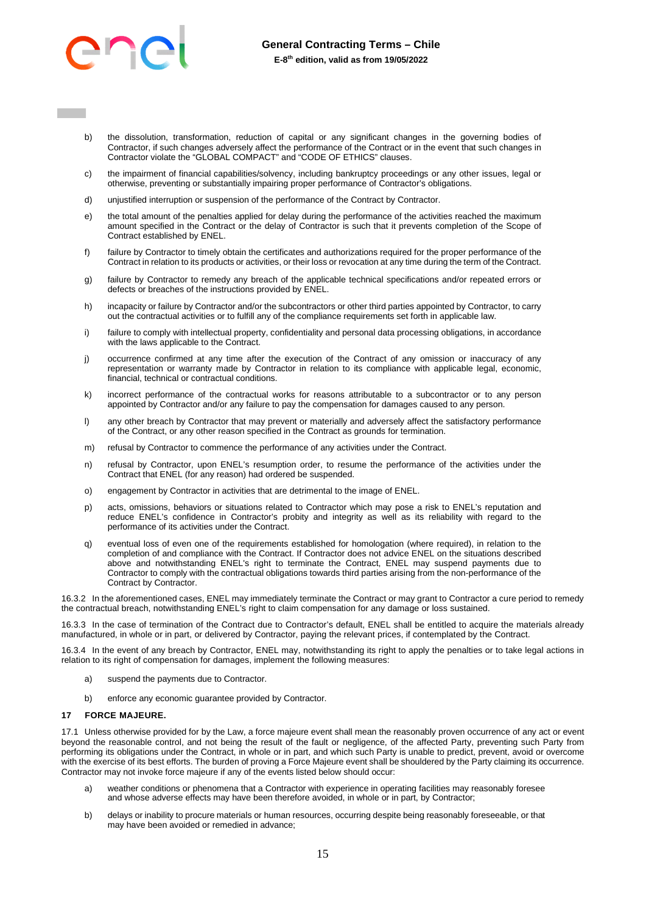

- b) the dissolution, transformation, reduction of capital or any significant changes in the governing bodies of Contractor, if such changes adversely affect the performance of the Contract or in the event that such changes in Contractor violate the "GLOBAL COMPACT" and "CODE OF ETHICS" clauses.
- c) the impairment of financial capabilities/solvency, including bankruptcy proceedings or any other issues, legal or otherwise, preventing or substantially impairing proper performance of Contractor's obligations.
- d) unjustified interruption or suspension of the performance of the Contract by Contractor.
- e) the total amount of the penalties applied for delay during the performance of the activities reached the maximum amount specified in the Contract or the delay of Contractor is such that it prevents completion of the Scope of Contract established by ENEL.
- failure by Contractor to timely obtain the certificates and authorizations required for the proper performance of the Contract in relation to its products or activities, or their loss or revocation at any time during the term of the Contract.
- g) failure by Contractor to remedy any breach of the applicable technical specifications and/or repeated errors or defects or breaches of the instructions provided by ENEL.
- h) incapacity or failure by Contractor and/or the subcontractors or other third parties appointed by Contractor, to carry out the contractual activities or to fulfill any of the compliance requirements set forth in applicable law.
- i) failure to comply with intellectual property, confidentiality and personal data processing obligations, in accordance with the laws applicable to the Contract.
- j) occurrence confirmed at any time after the execution of the Contract of any omission or inaccuracy of any representation or warranty made by Contractor in relation to its compliance with applicable legal, economic, financial, technical or contractual conditions.
- k) incorrect performance of the contractual works for reasons attributable to a subcontractor or to any person appointed by Contractor and/or any failure to pay the compensation for damages caused to any person.
- l) any other breach by Contractor that may prevent or materially and adversely affect the satisfactory performance of the Contract, or any other reason specified in the Contract as grounds for termination.
- m) refusal by Contractor to commence the performance of any activities under the Contract.
- n) refusal by Contractor, upon ENEL's resumption order, to resume the performance of the activities under the Contract that ENEL (for any reason) had ordered be suspended.
- o) engagement by Contractor in activities that are detrimental to the image of ENEL.
- p) acts, omissions, behaviors or situations related to Contractor which may pose a risk to ENEL's reputation and reduce ENEL's confidence in Contractor's probity and integrity as well as its reliability with regard to the performance of its activities under the Contract.
- q) eventual loss of even one of the requirements established for homologation (where required), in relation to the completion of and compliance with the Contract. If Contractor does not advice ENEL on the situations described above and notwithstanding ENEL's right to terminate the Contract, ENEL may suspend payments due to Contractor to comply with the contractual obligations towards third parties arising from the non-performance of the Contract by Contractor.

16.3.2 In the aforementioned cases, ENEL may immediately terminate the Contract or may grant to Contractor a cure period to remedy the contractual breach, notwithstanding ENEL's right to claim compensation for any damage or loss sustained.

16.3.3 In the case of termination of the Contract due to Contractor's default, ENEL shall be entitled to acquire the materials already manufactured, in whole or in part, or delivered by Contractor, paying the relevant prices, if contemplated by the Contract.

16.3.4 In the event of any breach by Contractor, ENEL may, notwithstanding its right to apply the penalties or to take legal actions in relation to its right of compensation for damages, implement the following measures:

- a) suspend the payments due to Contractor.
- b) enforce any economic guarantee provided by Contractor.

#### <span id="page-14-0"></span>**17 FORCE MAJEURE.**

17.1 Unless otherwise provided for by the Law, a force majeure event shall mean the reasonably proven occurrence of any act or event beyond the reasonable control, and not being the result of the fault or negligence, of the affected Party, preventing such Party from performing its obligations under the Contract, in whole or in part, and which such Party is unable to predict, prevent, avoid or overcome with the exercise of its best efforts. The burden of proving a Force Majeure event shall be shouldered by the Party claiming its occurrence. Contractor may not invoke force majeure if any of the events listed below should occur:

- weather conditions or phenomena that a Contractor with experience in operating facilities may reasonably foresee and whose adverse effects may have been therefore avoided, in whole or in part, by Contractor;
- b) delays or inability to procure materials or human resources, occurring despite being reasonably foreseeable, or that may have been avoided or remedied in advance;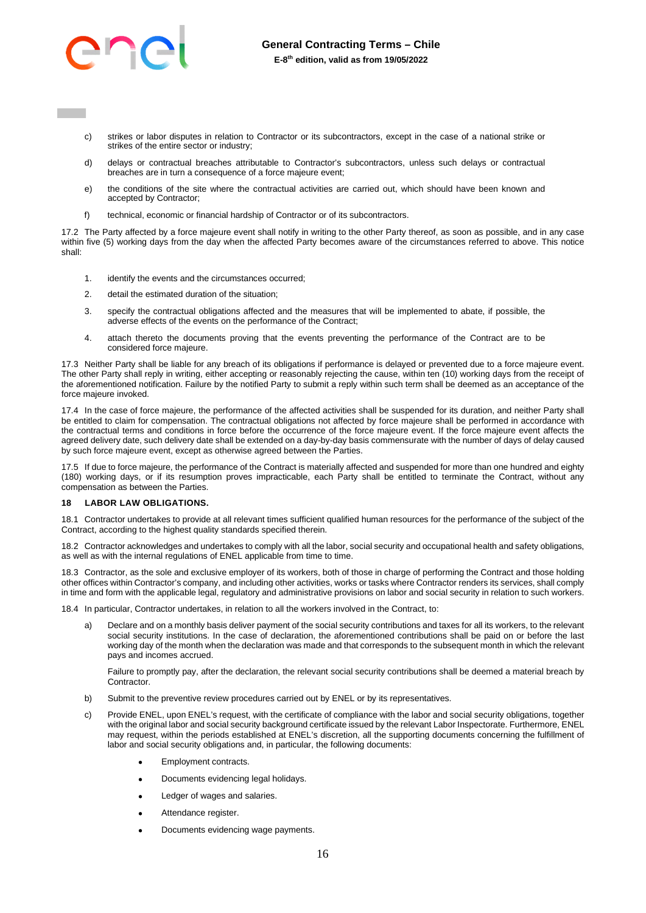

- c) strikes or labor disputes in relation to Contractor or its subcontractors, except in the case of a national strike or strikes of the entire sector or industry;
- d) delays or contractual breaches attributable to Contractor's subcontractors, unless such delays or contractual breaches are in turn a consequence of a force majeure event;
- e) the conditions of the site where the contractual activities are carried out, which should have been known and accepted by Contractor;
- f) technical, economic or financial hardship of Contractor or of its subcontractors.

17.2 The Party affected by a force majeure event shall notify in writing to the other Party thereof, as soon as possible, and in any case within five (5) working days from the day when the affected Party becomes aware of the circumstances referred to above. This notice shall:

- 1. identify the events and the circumstances occurred;
- 2. detail the estimated duration of the situation;
- 3. specify the contractual obligations affected and the measures that will be implemented to abate, if possible, the adverse effects of the events on the performance of the Contract;
- 4. attach thereto the documents proving that the events preventing the performance of the Contract are to be considered force majeure.

17.3 Neither Party shall be liable for any breach of its obligations if performance is delayed or prevented due to a force majeure event. The other Party shall reply in writing, either accepting or reasonably rejecting the cause, within ten (10) working days from the receipt of the aforementioned notification. Failure by the notified Party to submit a reply within such term shall be deemed as an acceptance of the force majeure invoked.

17.4 In the case of force majeure, the performance of the affected activities shall be suspended for its duration, and neither Party shall be entitled to claim for compensation. The contractual obligations not affected by force majeure shall be performed in accordance with the contractual terms and conditions in force before the occurrence of the force majeure event. If the force majeure event affects the agreed delivery date, such delivery date shall be extended on a day-by-day basis commensurate with the number of days of delay caused by such force majeure event, except as otherwise agreed between the Parties.

17.5 If due to force majeure, the performance of the Contract is materially affected and suspended for more than one hundred and eighty (180) working days, or if its resumption proves impracticable, each Party shall be entitled to terminate the Contract, without any compensation as between the Parties.

### <span id="page-15-0"></span>**18 LABOR LAW OBLIGATIONS.**

18.1 Contractor undertakes to provide at all relevant times sufficient qualified human resources for the performance of the subject of the Contract, according to the highest quality standards specified therein.

18.2 Contractor acknowledges and undertakes to comply with all the labor, social security and occupational health and safety obligations, as well as with the internal regulations of ENEL applicable from time to time.

18.3 Contractor, as the sole and exclusive employer of its workers, both of those in charge of performing the Contract and those holding other offices within Contractor's company, and including other activities, works or tasks where Contractor renders its services, shall comply in time and form with the applicable legal, regulatory and administrative provisions on labor and social security in relation to such workers.

18.4 In particular, Contractor undertakes, in relation to all the workers involved in the Contract, to:

Declare and on a monthly basis deliver payment of the social security contributions and taxes for all its workers, to the relevant social security institutions. In the case of declaration, the aforementioned contributions shall be paid on or before the last working day of the month when the declaration was made and that corresponds to the subsequent month in which the relevant pays and incomes accrued.

Failure to promptly pay, after the declaration, the relevant social security contributions shall be deemed a material breach by **Contractor** 

- b) Submit to the preventive review procedures carried out by ENEL or by its representatives.
- c) Provide ENEL, upon ENEL's request, with the certificate of compliance with the labor and social security obligations, together with the original labor and social security background certificate issued by the relevant Labor Inspectorate. Furthermore, ENEL may request, within the periods established at ENEL's discretion, all the supporting documents concerning the fulfillment of labor and social security obligations and, in particular, the following documents:
	- Employment contracts.
	- Documents evidencing legal holidays.
	- Ledger of wages and salaries.
	- Attendance register.
	- Documents evidencing wage payments.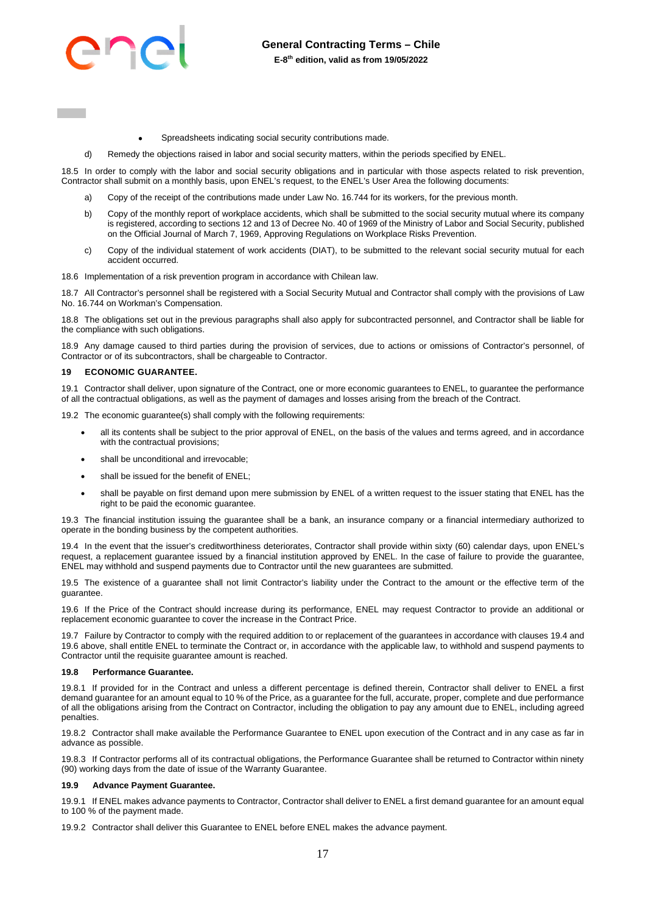

- Spreadsheets indicating social security contributions made.
- d) Remedy the objections raised in labor and social security matters, within the periods specified by ENEL.

18.5 In order to comply with the labor and social security obligations and in particular with those aspects related to risk prevention, Contractor shall submit on a monthly basis, upon ENEL's request, to the ENEL's User Area the following documents:

- a) Copy of the receipt of the contributions made under Law No. 16.744 for its workers, for the previous month.
- b) Copy of the monthly report of workplace accidents, which shall be submitted to the social security mutual where its company is registered, according to sections 12 and 13 of Decree No. 40 of 1969 of the Ministry of Labor and Social Security, published on the Official Journal of March 7, 1969, Approving Regulations on Workplace Risks Prevention.
- c) Copy of the individual statement of work accidents (DIAT), to be submitted to the relevant social security mutual for each accident occurred.

18.6 Implementation of a risk prevention program in accordance with Chilean law.

18.7 All Contractor's personnel shall be registered with a Social Security Mutual and Contractor shall comply with the provisions of Law No. 16.744 on Workman's Compensation.

18.8 The obligations set out in the previous paragraphs shall also apply for subcontracted personnel, and Contractor shall be liable for the compliance with such obligations.

18.9 Any damage caused to third parties during the provision of services, due to actions or omissions of Contractor's personnel, of Contractor or of its subcontractors, shall be chargeable to Contractor.

### <span id="page-16-0"></span>**19 ECONOMIC GUARANTEE.**

19.1 Contractor shall deliver, upon signature of the Contract, one or more economic guarantees to ENEL, to guarantee the performance of all the contractual obligations, as well as the payment of damages and losses arising from the breach of the Contract.

19.2 The economic guarantee(s) shall comply with the following requirements:

- all its contents shall be subject to the prior approval of ENEL, on the basis of the values and terms agreed, and in accordance with the contractual provisions:
- shall be unconditional and irrevocable;
- shall be issued for the benefit of ENEL;
- shall be payable on first demand upon mere submission by ENEL of a written request to the issuer stating that ENEL has the right to be paid the economic guarantee.

19.3 The financial institution issuing the guarantee shall be a bank, an insurance company or a financial intermediary authorized to operate in the bonding business by the competent authorities.

19.4 In the event that the issuer's creditworthiness deteriorates, Contractor shall provide within sixty (60) calendar days, upon ENEL's request, a replacement guarantee issued by a financial institution approved by ENEL. In the case of failure to provide the guarantee, ENEL may withhold and suspend payments due to Contractor until the new guarantees are submitted.

19.5 The existence of a guarantee shall not limit Contractor's liability under the Contract to the amount or the effective term of the guarantee.

19.6 If the Price of the Contract should increase during its performance, ENEL may request Contractor to provide an additional or replacement economic guarantee to cover the increase in the Contract Price.

19.7 Failure by Contractor to comply with the required addition to or replacement of the guarantees in accordance with clauses 19.4 and 19.6 above, shall entitle ENEL to terminate the Contract or, in accordance with the applicable law, to withhold and suspend payments to Contractor until the requisite guarantee amount is reached.

#### **19.8 Performance Guarantee.**

19.8.1 If provided for in the Contract and unless a different percentage is defined therein, Contractor shall deliver to ENEL a first demand guarantee for an amount equal to 10 % of the Price, as a guarantee for the full, accurate, proper, complete and due performance of all the obligations arising from the Contract on Contractor, including the obligation to pay any amount due to ENEL, including agreed penalties.

19.8.2 Contractor shall make available the Performance Guarantee to ENEL upon execution of the Contract and in any case as far in advance as possible.

19.8.3 If Contractor performs all of its contractual obligations, the Performance Guarantee shall be returned to Contractor within ninety (90) working days from the date of issue of the Warranty Guarantee.

#### **19.9 Advance Payment Guarantee.**

19.9.1 If ENEL makes advance payments to Contractor, Contractor shall deliver to ENEL a first demand guarantee for an amount equal to 100 % of the payment made.

19.9.2 Contractor shall deliver this Guarantee to ENEL before ENEL makes the advance payment.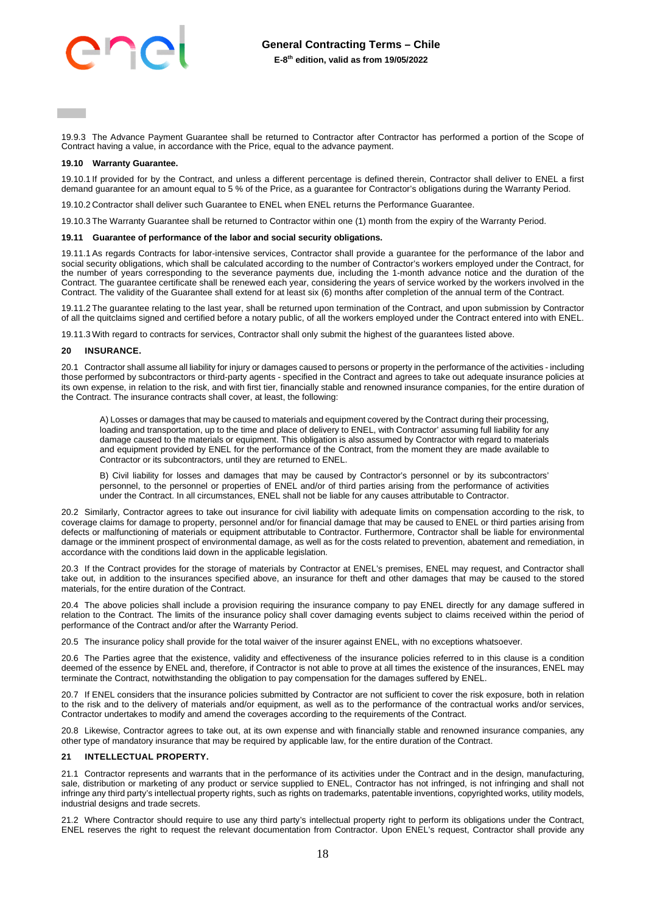19.9.3 The Advance Payment Guarantee shall be returned to Contractor after Contractor has performed a portion of the Scope of Contract having a value, in accordance with the Price, equal to the advance payment.

#### **19.10 Warranty Guarantee.**

19.10.1 If provided for by the Contract, and unless a different percentage is defined therein, Contractor shall deliver to ENEL a first demand guarantee for an amount equal to 5 % of the Price, as a guarantee for Contractor's obligations during the Warranty Period.

19.10.2 Contractor shall deliver such Guarantee to ENEL when ENEL returns the Performance Guarantee.

19.10.3 The Warranty Guarantee shall be returned to Contractor within one (1) month from the expiry of the Warranty Period.

#### **19.11 Guarantee of performance of the labor and social security obligations.**

19.11.1 As regards Contracts for labor-intensive services, Contractor shall provide a guarantee for the performance of the labor and social security obligations, which shall be calculated according to the number of Contractor's workers employed under the Contract, for the number of years corresponding to the severance payments due, including the 1-month advance notice and the duration of the Contract. The guarantee certificate shall be renewed each year, considering the years of service worked by the workers involved in the Contract. The validity of the Guarantee shall extend for at least six (6) months after completion of the annual term of the Contract.

19.11.2 The guarantee relating to the last year, shall be returned upon termination of the Contract, and upon submission by Contractor of all the quitclaims signed and certified before a notary public, of all the workers employed under the Contract entered into with ENEL.

19.11.3 With regard to contracts for services, Contractor shall only submit the highest of the guarantees listed above.

### <span id="page-17-0"></span>**20 INSURANCE.**

20.1 Contractor shall assume all liability for injury or damages caused to persons or property in the performance of the activities - including those performed by subcontractors or third-party agents - specified in the Contract and agrees to take out adequate insurance policies at its own expense, in relation to the risk, and with first tier, financially stable and renowned insurance companies, for the entire duration of the Contract. The insurance contracts shall cover, at least, the following:

A) Losses or damages that may be caused to materials and equipment covered by the Contract during their processing, loading and transportation, up to the time and place of delivery to ENEL, with Contractor' assuming full liability for any damage caused to the materials or equipment. This obligation is also assumed by Contractor with regard to materials and equipment provided by ENEL for the performance of the Contract, from the moment they are made available to Contractor or its subcontractors, until they are returned to ENEL.

B) Civil liability for losses and damages that may be caused by Contractor's personnel or by its subcontractors' personnel, to the personnel or properties of ENEL and/or of third parties arising from the performance of activities under the Contract. In all circumstances, ENEL shall not be liable for any causes attributable to Contractor.

20.2 Similarly, Contractor agrees to take out insurance for civil liability with adequate limits on compensation according to the risk, to coverage claims for damage to property, personnel and/or for financial damage that may be caused to ENEL or third parties arising from defects or malfunctioning of materials or equipment attributable to Contractor. Furthermore, Contractor shall be liable for environmental damage or the imminent prospect of environmental damage, as well as for the costs related to prevention, abatement and remediation, in accordance with the conditions laid down in the applicable legislation.

20.3 If the Contract provides for the storage of materials by Contractor at ENEL's premises, ENEL may request, and Contractor shall take out, in addition to the insurances specified above, an insurance for theft and other damages that may be caused to the stored materials, for the entire duration of the Contract.

20.4 The above policies shall include a provision requiring the insurance company to pay ENEL directly for any damage suffered in relation to the Contract. The limits of the insurance policy shall cover damaging events subject to claims received within the period of performance of the Contract and/or after the Warranty Period.

20.5 The insurance policy shall provide for the total waiver of the insurer against ENEL, with no exceptions whatsoever.

20.6 The Parties agree that the existence, validity and effectiveness of the insurance policies referred to in this clause is a condition deemed of the essence by ENEL and, therefore, if Contractor is not able to prove at all times the existence of the insurances, ENEL may terminate the Contract, notwithstanding the obligation to pay compensation for the damages suffered by ENEL.

20.7 If ENEL considers that the insurance policies submitted by Contractor are not sufficient to cover the risk exposure, both in relation to the risk and to the delivery of materials and/or equipment, as well as to the performance of the contractual works and/or services, Contractor undertakes to modify and amend the coverages according to the requirements of the Contract.

20.8 Likewise, Contractor agrees to take out, at its own expense and with financially stable and renowned insurance companies, any other type of mandatory insurance that may be required by applicable law, for the entire duration of the Contract.

#### <span id="page-17-1"></span>**21 INTELLECTUAL PROPERTY.**

21.1 Contractor represents and warrants that in the performance of its activities under the Contract and in the design, manufacturing, sale, distribution or marketing of any product or service supplied to ENEL, Contractor has not infringed, is not infringing and shall not infringe any third party's intellectual property rights, such as rights on trademarks, patentable inventions, copyrighted works, utility models, industrial designs and trade secrets.

21.2 Where Contractor should require to use any third party's intellectual property right to perform its obligations under the Contract, ENEL reserves the right to request the relevant documentation from Contractor. Upon ENEL's request, Contractor shall provide any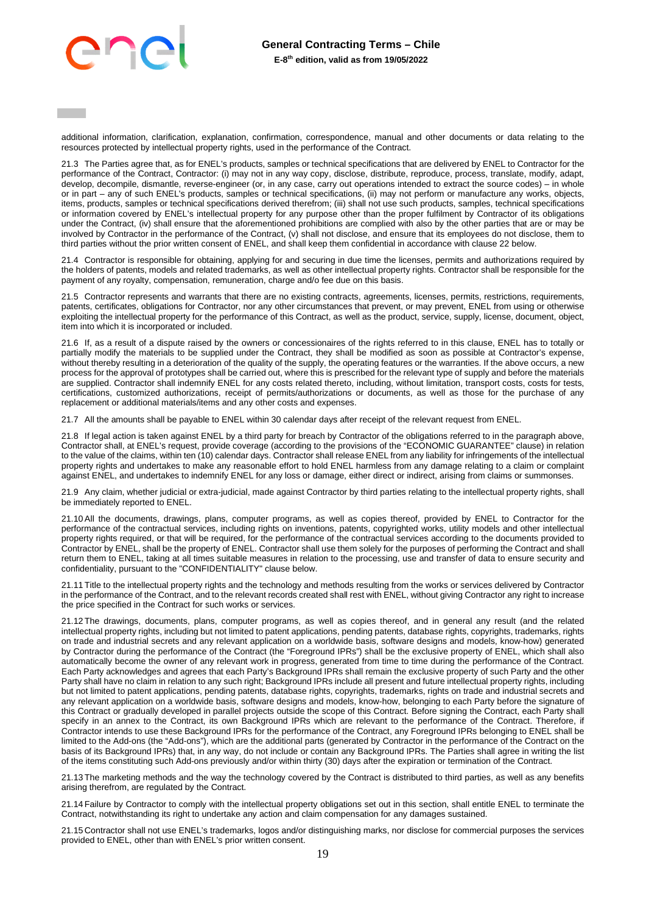additional information, clarification, explanation, confirmation, correspondence, manual and other documents or data relating to the resources protected by intellectual property rights, used in the performance of the Contract.

21.3 The Parties agree that, as for ENEL's products, samples or technical specifications that are delivered by ENEL to Contractor for the performance of the Contract, Contractor: (i) may not in any way copy, disclose, distribute, reproduce, process, translate, modify, adapt, develop, decompile, dismantle, reverse-engineer (or, in any case, carry out operations intended to extract the source codes) – in whole or in part – any of such ENEL's products, samples or technical specifications, (ii) may not perform or manufacture any works, objects, items, products, samples or technical specifications derived therefrom; (iii) shall not use such products, samples, technical specifications or information covered by ENEL's intellectual property for any purpose other than the proper fulfilment by Contractor of its obligations under the Contract, (iv) shall ensure that the aforementioned prohibitions are complied with also by the other parties that are or may be involved by Contractor in the performance of the Contract, (v) shall not disclose, and ensure that its employees do not disclose, them to third parties without the prior written consent of ENEL, and shall keep them confidential in accordance with clause 22 below.

21.4 Contractor is responsible for obtaining, applying for and securing in due time the licenses, permits and authorizations required by the holders of patents, models and related trademarks, as well as other intellectual property rights. Contractor shall be responsible for the payment of any royalty, compensation, remuneration, charge and/o fee due on this basis.

21.5 Contractor represents and warrants that there are no existing contracts, agreements, licenses, permits, restrictions, requirements, patents, certificates, obligations for Contractor, nor any other circumstances that prevent, or may prevent, ENEL from using or otherwise exploiting the intellectual property for the performance of this Contract, as well as the product, service, supply, license, document, object, item into which it is incorporated or included.

21.6 If, as a result of a dispute raised by the owners or concessionaires of the rights referred to in this clause, ENEL has to totally or partially modify the materials to be supplied under the Contract, they shall be modified as soon as possible at Contractor's expense, without thereby resulting in a deterioration of the quality of the supply, the operating features or the warranties. If the above occurs, a new process for the approval of prototypes shall be carried out, where this is prescribed for the relevant type of supply and before the materials are supplied. Contractor shall indemnify ENEL for any costs related thereto, including, without limitation, transport costs, costs for tests, certifications, customized authorizations, receipt of permits/authorizations or documents, as well as those for the purchase of any replacement or additional materials/items and any other costs and expenses.

21.7 All the amounts shall be payable to ENEL within 30 calendar days after receipt of the relevant request from ENEL.

21.8 If legal action is taken against ENEL by a third party for breach by Contractor of the obligations referred to in the paragraph above, Contractor shall, at ENEL's request, provide coverage (according to the provisions of the "ECONOMIC GUARANTEE" clause) in relation to the value of the claims, within ten (10) calendar days. Contractor shall release ENEL from any liability for infringements of the intellectual property rights and undertakes to make any reasonable effort to hold ENEL harmless from any damage relating to a claim or complaint against ENEL, and undertakes to indemnify ENEL for any loss or damage, either direct or indirect, arising from claims or summonses.

21.9 Any claim, whether judicial or extra-judicial, made against Contractor by third parties relating to the intellectual property rights, shall be immediately reported to ENEL.

21.10 All the documents, drawings, plans, computer programs, as well as copies thereof, provided by ENEL to Contractor for the performance of the contractual services, including rights on inventions, patents, copyrighted works, utility models and other intellectual property rights required, or that will be required, for the performance of the contractual services according to the documents provided to Contractor by ENEL, shall be the property of ENEL. Contractor shall use them solely for the purposes of performing the Contract and shall return them to ENEL, taking at all times suitable measures in relation to the processing, use and transfer of data to ensure security and confidentiality, pursuant to the "CONFIDENTIALITY" clause below.

21.11 Title to the intellectual property rights and the technology and methods resulting from the works or services delivered by Contractor in the performance of the Contract, and to the relevant records created shall rest with ENEL, without giving Contractor any right to increase the price specified in the Contract for such works or services.

21.12 The drawings, documents, plans, computer programs, as well as copies thereof, and in general any result (and the related intellectual property rights, including but not limited to patent applications, pending patents, database rights, copyrights, trademarks, rights on trade and industrial secrets and any relevant application on a worldwide basis, software designs and models, know-how) generated by Contractor during the performance of the Contract (the "Foreground IPRs") shall be the exclusive property of ENEL, which shall also automatically become the owner of any relevant work in progress, generated from time to time during the performance of the Contract. Each Party acknowledges and agrees that each Party's Background IPRs shall remain the exclusive property of such Party and the other Party shall have no claim in relation to any such right; Background IPRs include all present and future intellectual property rights, including but not limited to patent applications, pending patents, database rights, copyrights, trademarks, rights on trade and industrial secrets and any relevant application on a worldwide basis, software designs and models, know-how, belonging to each Party before the signature of this Contract or gradually developed in parallel projects outside the scope of this Contract. Before signing the Contract, each Party shall specify in an annex to the Contract, its own Background IPRs which are relevant to the performance of the Contract. Therefore, if Contractor intends to use these Background IPRs for the performance of the Contract, any Foreground IPRs belonging to ENEL shall be limited to the Add-ons (the "Add-ons"), which are the additional parts (generated by Contractor in the performance of the Contract on the basis of its Background IPRs) that, in any way, do not include or contain any Background IPRs. The Parties shall agree in writing the list of the items constituting such Add-ons previously and/or within thirty (30) days after the expiration or termination of the Contract.

21.13 The marketing methods and the way the technology covered by the Contract is distributed to third parties, as well as any benefits arising therefrom, are regulated by the Contract.

21.14 Failure by Contractor to comply with the intellectual property obligations set out in this section, shall entitle ENEL to terminate the Contract, notwithstanding its right to undertake any action and claim compensation for any damages sustained.

21.15 Contractor shall not use ENEL's trademarks, logos and/or distinguishing marks, nor disclose for commercial purposes the services provided to ENEL, other than with ENEL's prior written consent.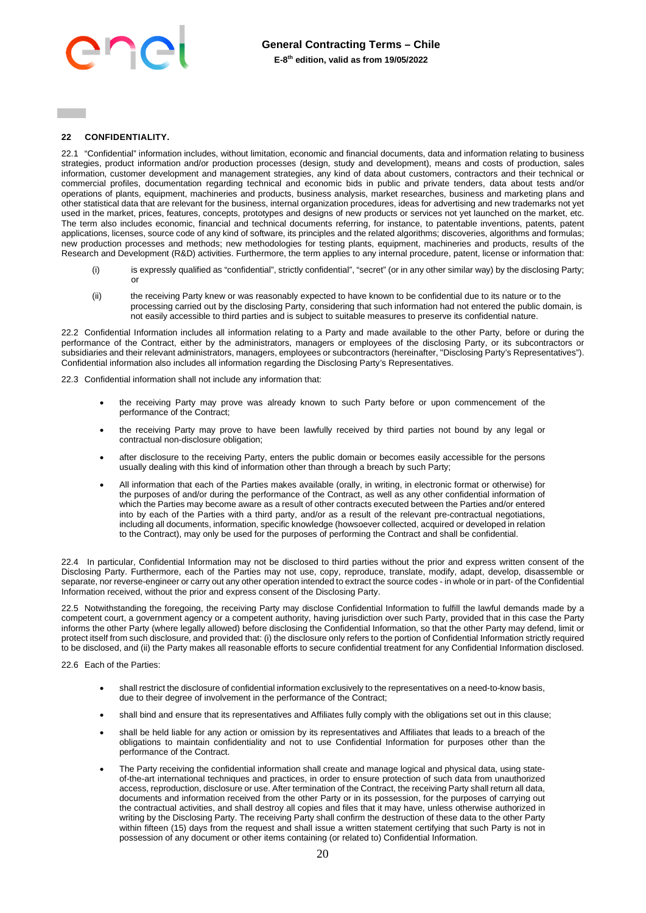

## <span id="page-19-0"></span>**22 CONFIDENTIALITY.**

22.1 "Confidential" information includes, without limitation, economic and financial documents, data and information relating to business strategies, product information and/or production processes (design, study and development), means and costs of production, sales information, customer development and management strategies, any kind of data about customers, contractors and their technical or commercial profiles, documentation regarding technical and economic bids in public and private tenders, data about tests and/or operations of plants, equipment, machineries and products, business analysis, market researches, business and marketing plans and other statistical data that are relevant for the business, internal organization procedures, ideas for advertising and new trademarks not yet used in the market, prices, features, concepts, prototypes and designs of new products or services not yet launched on the market, etc. The term also includes economic, financial and technical documents referring, for instance, to patentable inventions, patents, patent applications, licenses, source code of any kind of software, its principles and the related algorithms; discoveries, algorithms and formulas; new production processes and methods; new methodologies for testing plants, equipment, machineries and products, results of the Research and Development (R&D) activities. Furthermore, the term applies to any internal procedure, patent, license or information that:

- (i) is expressly qualified as "confidential", strictly confidential", "secret" (or in any other similar way) by the disclosing Party; or
- (ii) the receiving Party knew or was reasonably expected to have known to be confidential due to its nature or to the processing carried out by the disclosing Party, considering that such information had not entered the public domain, is not easily accessible to third parties and is subject to suitable measures to preserve its confidential nature.

22.2 Confidential Information includes all information relating to a Party and made available to the other Party, before or during the performance of the Contract, either by the administrators, managers or employees of the disclosing Party, or its subcontractors or subsidiaries and their relevant administrators, managers, employees or subcontractors (hereinafter, "Disclosing Party's Representatives"). Confidential information also includes all information regarding the Disclosing Party's Representatives.

22.3 Confidential information shall not include any information that:

- the receiving Party may prove was already known to such Party before or upon commencement of the performance of the Contract;
- the receiving Party may prove to have been lawfully received by third parties not bound by any legal or contractual non-disclosure obligation;
- after disclosure to the receiving Party, enters the public domain or becomes easily accessible for the persons usually dealing with this kind of information other than through a breach by such Party;
- All information that each of the Parties makes available (orally, in writing, in electronic format or otherwise) for the purposes of and/or during the performance of the Contract, as well as any other confidential information of which the Parties may become aware as a result of other contracts executed between the Parties and/or entered into by each of the Parties with a third party, and/or as a result of the relevant pre-contractual negotiations, including all documents, information, specific knowledge (howsoever collected, acquired or developed in relation to the Contract), may only be used for the purposes of performing the Contract and shall be confidential.

22.4 In particular, Confidential Information may not be disclosed to third parties without the prior and express written consent of the Disclosing Party. Furthermore, each of the Parties may not use, copy, reproduce, translate, modify, adapt, develop, disassemble or separate, nor reverse-engineer or carry out any other operation intended to extract the source codes - in whole or in part- of the Confidential Information received, without the prior and express consent of the Disclosing Party.

22.5 Notwithstanding the foregoing, the receiving Party may disclose Confidential Information to fulfill the lawful demands made by a competent court, a government agency or a competent authority, having jurisdiction over such Party, provided that in this case the Party informs the other Party (where legally allowed) before disclosing the Confidential Information, so that the other Party may defend, limit or protect itself from such disclosure, and provided that: (i) the disclosure only refers to the portion of Confidential Information strictly required to be disclosed, and (ii) the Party makes all reasonable efforts to secure confidential treatment for any Confidential Information disclosed.

22.6 Each of the Parties:

- shall restrict the disclosure of confidential information exclusively to the representatives on a need-to-know basis, due to their degree of involvement in the performance of the Contract;
- shall bind and ensure that its representatives and Affiliates fully comply with the obligations set out in this clause;
- shall be held liable for any action or omission by its representatives and Affiliates that leads to a breach of the obligations to maintain confidentiality and not to use Confidential Information for purposes other than the performance of the Contract.
- The Party receiving the confidential information shall create and manage logical and physical data, using stateof-the-art international techniques and practices, in order to ensure protection of such data from unauthorized access, reproduction, disclosure or use. After termination of the Contract, the receiving Party shall return all data, documents and information received from the other Party or in its possession, for the purposes of carrying out the contractual activities, and shall destroy all copies and files that it may have, unless otherwise authorized in writing by the Disclosing Party. The receiving Party shall confirm the destruction of these data to the other Party within fifteen (15) days from the request and shall issue a written statement certifying that such Party is not in possession of any document or other items containing (or related to) Confidential Information.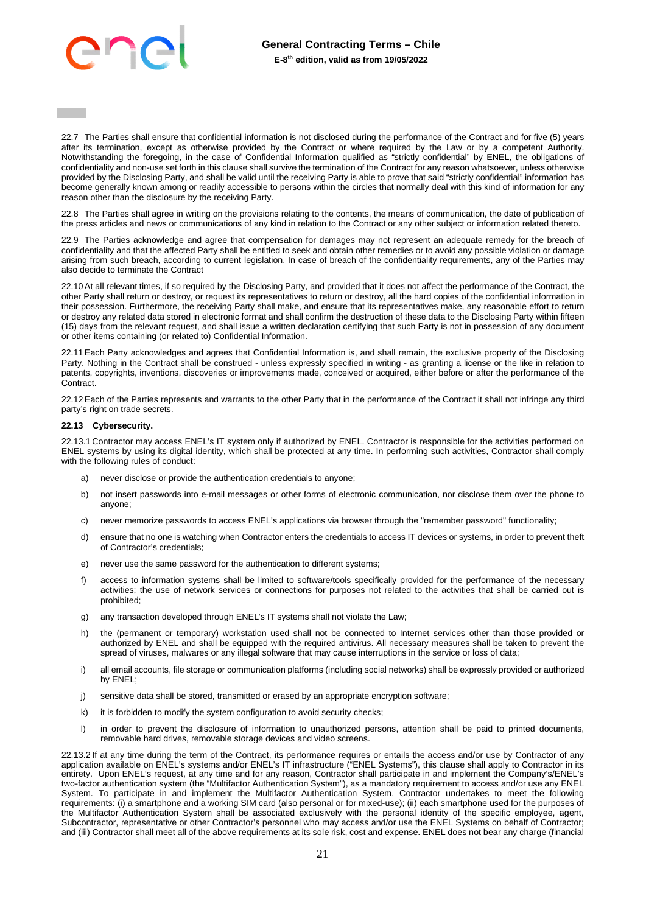

22.7 The Parties shall ensure that confidential information is not disclosed during the performance of the Contract and for five (5) years after its termination, except as otherwise provided by the Contract or where required by the Law or by a competent Authority. Notwithstanding the foregoing, in the case of Confidential Information qualified as "strictly confidential" by ENEL, the obligations of confidentiality and non-use set forth in this clause shall survive the termination of the Contract for any reason whatsoever, unless otherwise provided by the Disclosing Party, and shall be valid until the receiving Party is able to prove that said "strictly confidential" information has become generally known among or readily accessible to persons within the circles that normally deal with this kind of information for any reason other than the disclosure by the receiving Party.

22.8 The Parties shall agree in writing on the provisions relating to the contents, the means of communication, the date of publication of the press articles and news or communications of any kind in relation to the Contract or any other subject or information related thereto.

22.9 The Parties acknowledge and agree that compensation for damages may not represent an adequate remedy for the breach of confidentiality and that the affected Party shall be entitled to seek and obtain other remedies or to avoid any possible violation or damage arising from such breach, according to current legislation. In case of breach of the confidentiality requirements, any of the Parties may also decide to terminate the Contract

22.10 At all relevant times, if so required by the Disclosing Party, and provided that it does not affect the performance of the Contract, the other Party shall return or destroy, or request its representatives to return or destroy, all the hard copies of the confidential information in their possession. Furthermore, the receiving Party shall make, and ensure that its representatives make, any reasonable effort to return or destroy any related data stored in electronic format and shall confirm the destruction of these data to the Disclosing Party within fifteen (15) days from the relevant request, and shall issue a written declaration certifying that such Party is not in possession of any document or other items containing (or related to) Confidential Information.

22.11 Each Party acknowledges and agrees that Confidential Information is, and shall remain, the exclusive property of the Disclosing Party. Nothing in the Contract shall be construed - unless expressly specified in writing - as granting a license or the like in relation to patents, copyrights, inventions, discoveries or improvements made, conceived or acquired, either before or after the performance of the Contract.

22.12 Each of the Parties represents and warrants to the other Party that in the performance of the Contract it shall not infringe any third party's right on trade secrets.

### **22.13 Cybersecurity.**

22.13.1 Contractor may access ENEL's IT system only if authorized by ENEL. Contractor is responsible for the activities performed on ENEL systems by using its digital identity, which shall be protected at any time. In performing such activities, Contractor shall comply with the following rules of conduct:

- a) never disclose or provide the authentication credentials to anyone;
- b) not insert passwords into e-mail messages or other forms of electronic communication, nor disclose them over the phone to anyone;
- c) never memorize passwords to access ENEL's applications via browser through the "remember password" functionality;
- d) ensure that no one is watching when Contractor enters the credentials to access IT devices or systems, in order to prevent theft of Contractor's credentials;
- e) never use the same password for the authentication to different systems;
- f) access to information systems shall be limited to software/tools specifically provided for the performance of the necessary activities; the use of network services or connections for purposes not related to the activities that shall be carried out is prohibited;
- g) any transaction developed through ENEL's IT systems shall not violate the Law;
- h) the (permanent or temporary) workstation used shall not be connected to Internet services other than those provided or authorized by ENEL and shall be equipped with the required antivirus. All necessary measures shall be taken to prevent the spread of viruses, malwares or any illegal software that may cause interruptions in the service or loss of data;
- i) all email accounts, file storage or communication platforms (including social networks) shall be expressly provided or authorized by ENEL;
- j) sensitive data shall be stored, transmitted or erased by an appropriate encryption software;
- k) it is forbidden to modify the system configuration to avoid security checks;
- l) in order to prevent the disclosure of information to unauthorized persons, attention shall be paid to printed documents, removable hard drives, removable storage devices and video screens.

22.13.2 If at any time during the term of the Contract, its performance requires or entails the access and/or use by Contractor of any application available on ENEL's systems and/or ENEL's IT infrastructure ("ENEL Systems"), this clause shall apply to Contractor in its entirety. Upon ENEL's request, at any time and for any reason, Contractor shall participate in and implement the Company's/ENEL's two-factor authentication system (the "Multifactor Authentication System"), as a mandatory requirement to access and/or use any ENEL System. To participate in and implement the Multifactor Authentication System, Contractor undertakes to meet the following requirements: (i) a smartphone and a working SIM card (also personal or for mixed-use); (ii) each smartphone used for the purposes of the Multifactor Authentication System shall be associated exclusively with the personal identity of the specific employee, agent, Subcontractor, representative or other Contractor's personnel who may access and/or use the ENEL Systems on behalf of Contractor; and (iii) Contractor shall meet all of the above requirements at its sole risk, cost and expense. ENEL does not bear any charge (financial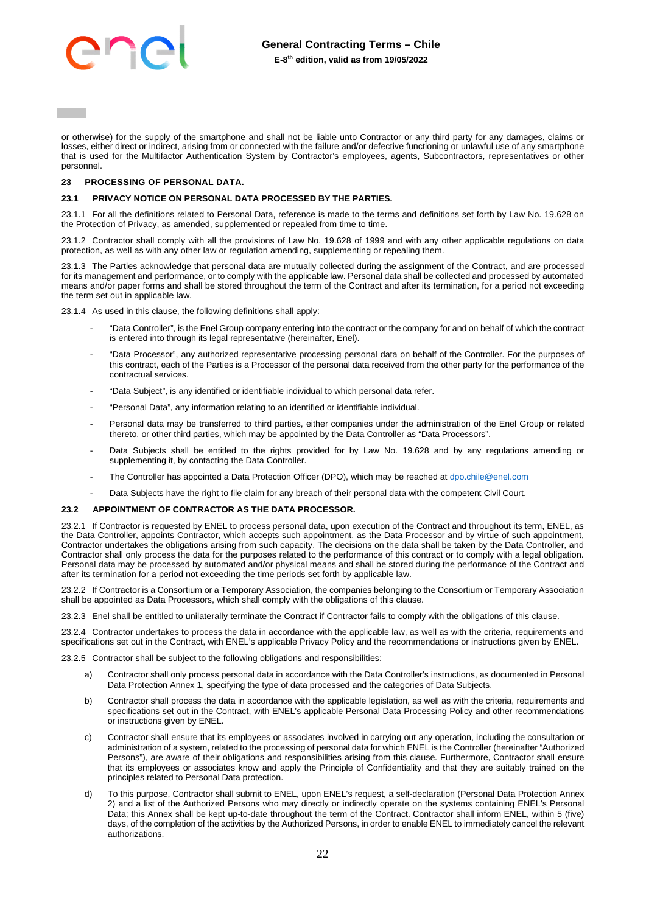

or otherwise) for the supply of the smartphone and shall not be liable unto Contractor or any third party for any damages, claims or losses, either direct or indirect, arising from or connected with the failure and/or defective functioning or unlawful use of any smartphone that is used for the Multifactor Authentication System by Contractor's employees, agents, Subcontractors, representatives or other personnel.

### <span id="page-21-0"></span>**23 PROCESSING OF PERSONAL DATA.**

### **23.1 PRIVACY NOTICE ON PERSONAL DATA PROCESSED BY THE PARTIES.**

23.1.1 For all the definitions related to Personal Data, reference is made to the terms and definitions set forth by Law No. 19.628 on the Protection of Privacy, as amended, supplemented or repealed from time to time.

23.1.2 Contractor shall comply with all the provisions of Law No. 19.628 of 1999 and with any other applicable regulations on data protection, as well as with any other law or regulation amending, supplementing or repealing them.

23.1.3 The Parties acknowledge that personal data are mutually collected during the assignment of the Contract, and are processed for its management and performance, or to comply with the applicable law. Personal data shall be collected and processed by automated means and/or paper forms and shall be stored throughout the term of the Contract and after its termination, for a period not exceeding the term set out in applicable law.

23.1.4 As used in this clause, the following definitions shall apply:

- "Data Controller", is the Enel Group company entering into the contract or the company for and on behalf of which the contract is entered into through its legal representative (hereinafter, Enel).
- "Data Processor", any authorized representative processing personal data on behalf of the Controller. For the purposes of this contract, each of the Parties is a Processor of the personal data received from the other party for the performance of the contractual services.
- "Data Subject", is any identified or identifiable individual to which personal data refer.
- "Personal Data", any information relating to an identified or identifiable individual.
- Personal data may be transferred to third parties, either companies under the administration of the Enel Group or related thereto, or other third parties, which may be appointed by the Data Controller as "Data Processors".
- Data Subjects shall be entitled to the rights provided for by Law No. 19.628 and by any regulations amending or supplementing it, by contacting the Data Controller.
- The Controller has appointed a Data Protection Officer (DPO), which may be reached a[t dpo.chile@enel.com](mailto:dpo.chile@enel.com)
- Data Subjects have the right to file claim for any breach of their personal data with the competent Civil Court.

#### **23.2 APPOINTMENT OF CONTRACTOR AS THE DATA PROCESSOR.**

23.2.1 If Contractor is requested by ENEL to process personal data, upon execution of the Contract and throughout its term, ENEL, as the Data Controller, appoints Contractor, which accepts such appointment, as the Data Processor and by virtue of such appointment, Contractor undertakes the obligations arising from such capacity. The decisions on the data shall be taken by the Data Controller, and Contractor shall only process the data for the purposes related to the performance of this contract or to comply with a legal obligation. Personal data may be processed by automated and/or physical means and shall be stored during the performance of the Contract and after its termination for a period not exceeding the time periods set forth by applicable law.

23.2.2 If Contractor is a Consortium or a Temporary Association, the companies belonging to the Consortium or Temporary Association shall be appointed as Data Processors, which shall comply with the obligations of this clause.

23.2.3 Enel shall be entitled to unilaterally terminate the Contract if Contractor fails to comply with the obligations of this clause.

23.2.4 Contractor undertakes to process the data in accordance with the applicable law, as well as with the criteria, requirements and specifications set out in the Contract, with ENEL's applicable Privacy Policy and the recommendations or instructions given by ENEL.

23.2.5 Contractor shall be subject to the following obligations and responsibilities:

- a) Contractor shall only process personal data in accordance with the Data Controller's instructions, as documented in Personal Data Protection Annex 1, specifying the type of data processed and the categories of Data Subjects.
- b) Contractor shall process the data in accordance with the applicable legislation, as well as with the criteria, requirements and specifications set out in the Contract, with ENEL's applicable Personal Data Processing Policy and other recommendations or instructions given by ENEL.
- c) Contractor shall ensure that its employees or associates involved in carrying out any operation, including the consultation or administration of a system, related to the processing of personal data for which ENEL is the Controller (hereinafter "Authorized Persons"), are aware of their obligations and responsibilities arising from this clause. Furthermore, Contractor shall ensure that its employees or associates know and apply the Principle of Confidentiality and that they are suitably trained on the principles related to Personal Data protection.
- d) To this purpose, Contractor shall submit to ENEL, upon ENEL's request, a self-declaration (Personal Data Protection Annex 2) and a list of the Authorized Persons who may directly or indirectly operate on the systems containing ENEL's Personal Data; this Annex shall be kept up-to-date throughout the term of the Contract. Contractor shall inform ENEL, within 5 (five) days, of the completion of the activities by the Authorized Persons, in order to enable ENEL to immediately cancel the relevant authorizations.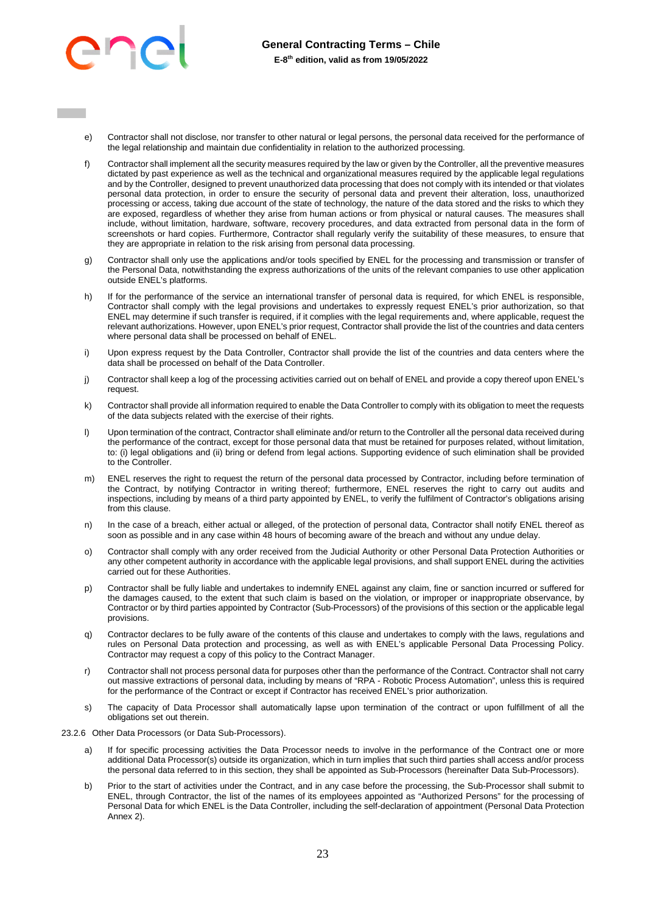

- e) Contractor shall not disclose, nor transfer to other natural or legal persons, the personal data received for the performance of the legal relationship and maintain due confidentiality in relation to the authorized processing.
- f) Contractor shall implement all the security measures required by the law or given by the Controller, all the preventive measures dictated by past experience as well as the technical and organizational measures required by the applicable legal regulations and by the Controller, designed to prevent unauthorized data processing that does not comply with its intended or that violates personal data protection, in order to ensure the security of personal data and prevent their alteration, loss, unauthorized processing or access, taking due account of the state of technology, the nature of the data stored and the risks to which they are exposed, regardless of whether they arise from human actions or from physical or natural causes. The measures shall include, without limitation, hardware, software, recovery procedures, and data extracted from personal data in the form of screenshots or hard copies. Furthermore, Contractor shall regularly verify the suitability of these measures, to ensure that they are appropriate in relation to the risk arising from personal data processing.
- g) Contractor shall only use the applications and/or tools specified by ENEL for the processing and transmission or transfer of the Personal Data, notwithstanding the express authorizations of the units of the relevant companies to use other application outside ENEL's platforms.
- h) If for the performance of the service an international transfer of personal data is required, for which ENEL is responsible, Contractor shall comply with the legal provisions and undertakes to expressly request ENEL's prior authorization, so that ENEL may determine if such transfer is required, if it complies with the legal requirements and, where applicable, request the relevant authorizations. However, upon ENEL's prior request, Contractor shall provide the list of the countries and data centers where personal data shall be processed on behalf of ENEL.
- i) Upon express request by the Data Controller, Contractor shall provide the list of the countries and data centers where the data shall be processed on behalf of the Data Controller.
- j) Contractor shall keep a log of the processing activities carried out on behalf of ENEL and provide a copy thereof upon ENEL's request.
- k) Contractor shall provide all information required to enable the Data Controller to comply with its obligation to meet the requests of the data subjects related with the exercise of their rights.
- l) Upon termination of the contract, Contractor shall eliminate and/or return to the Controller all the personal data received during the performance of the contract, except for those personal data that must be retained for purposes related, without limitation, to: (i) legal obligations and (ii) bring or defend from legal actions. Supporting evidence of such elimination shall be provided to the Controller.
- m) ENEL reserves the right to request the return of the personal data processed by Contractor, including before termination of the Contract, by notifying Contractor in writing thereof; furthermore, ENEL reserves the right to carry out audits and inspections, including by means of a third party appointed by ENEL, to verify the fulfilment of Contractor's obligations arising from this clause.
- n) In the case of a breach, either actual or alleged, of the protection of personal data, Contractor shall notify ENEL thereof as soon as possible and in any case within 48 hours of becoming aware of the breach and without any undue delay.
- o) Contractor shall comply with any order received from the Judicial Authority or other Personal Data Protection Authorities or any other competent authority in accordance with the applicable legal provisions, and shall support ENEL during the activities carried out for these Authorities.
- p) Contractor shall be fully liable and undertakes to indemnify ENEL against any claim, fine or sanction incurred or suffered for the damages caused, to the extent that such claim is based on the violation, or improper or inappropriate observance, by Contractor or by third parties appointed by Contractor (Sub-Processors) of the provisions of this section or the applicable legal provisions.
- q) Contractor declares to be fully aware of the contents of this clause and undertakes to comply with the laws, regulations and rules on Personal Data protection and processing, as well as with ENEL's applicable Personal Data Processing Policy. Contractor may request a copy of this policy to the Contract Manager.
- r) Contractor shall not process personal data for purposes other than the performance of the Contract. Contractor shall not carry out massive extractions of personal data, including by means of "RPA - Robotic Process Automation", unless this is required for the performance of the Contract or except if Contractor has received ENEL's prior authorization.
- s) The capacity of Data Processor shall automatically lapse upon termination of the contract or upon fulfillment of all the obligations set out therein.
- 23.2.6 Other Data Processors (or Data Sub-Processors).
	- a) If for specific processing activities the Data Processor needs to involve in the performance of the Contract one or more additional Data Processor(s) outside its organization, which in turn implies that such third parties shall access and/or process the personal data referred to in this section, they shall be appointed as Sub-Processors (hereinafter Data Sub-Processors).
	- b) Prior to the start of activities under the Contract, and in any case before the processing, the Sub-Processor shall submit to ENEL, through Contractor, the list of the names of its employees appointed as "Authorized Persons" for the processing of Personal Data for which ENEL is the Data Controller, including the self-declaration of appointment (Personal Data Protection Annex 2).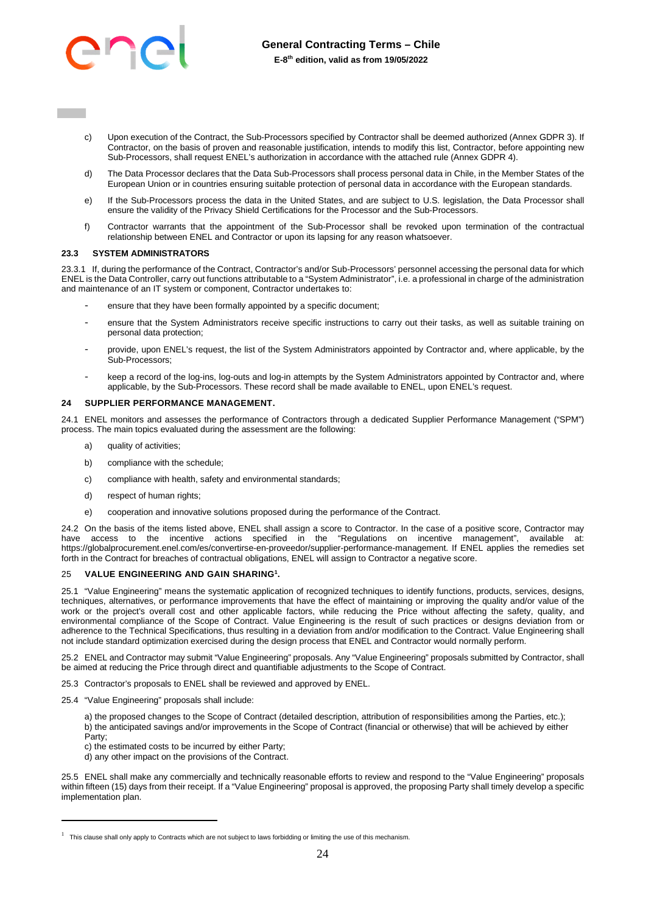

- c) Upon execution of the Contract, the Sub-Processors specified by Contractor shall be deemed authorized (Annex GDPR 3). If Contractor, on the basis of proven and reasonable justification, intends to modify this list, Contractor, before appointing new Sub-Processors, shall request ENEL's authorization in accordance with the attached rule (Annex GDPR 4).
- d) The Data Processor declares that the Data Sub-Processors shall process personal data in Chile, in the Member States of the European Union or in countries ensuring suitable protection of personal data in accordance with the European standards.
- e) If the Sub-Processors process the data in the United States, and are subject to U.S. legislation, the Data Processor shall ensure the validity of the Privacy Shield Certifications for the Processor and the Sub-Processors.
- f) Contractor warrants that the appointment of the Sub-Processor shall be revoked upon termination of the contractual relationship between ENEL and Contractor or upon its lapsing for any reason whatsoever.

#### **23.3 SYSTEM ADMINISTRATORS**

23.3.1 If, during the performance of the Contract, Contractor's and/or Sub-Processors' personnel accessing the personal data for which ENEL is the Data Controller, carry out functions attributable to a "System Administrator", i.e. a professional in charge of the administration and maintenance of an IT system or component, Contractor undertakes to:

- ensure that they have been formally appointed by a specific document;
- ensure that the System Administrators receive specific instructions to carry out their tasks, as well as suitable training on personal data protection;
- provide, upon ENEL's request, the list of the System Administrators appointed by Contractor and, where applicable, by the Sub-Processors;
- keep a record of the log-ins, log-outs and log-in attempts by the System Administrators appointed by Contractor and, where applicable, by the Sub-Processors. These record shall be made available to ENEL, upon ENEL's request.

#### <span id="page-23-0"></span>**24 SUPPLIER PERFORMANCE MANAGEMENT.**

24.1 ENEL monitors and assesses the performance of Contractors through a dedicated Supplier Performance Management ("SPM") process. The main topics evaluated during the assessment are the following:

- a) quality of activities;
- b) compliance with the schedule;
- c) compliance with health, safety and environmental standards;
- d) respect of human rights;
- e) cooperation and innovative solutions proposed during the performance of the Contract.

24.2 On the basis of the items listed above, ENEL shall assign a score to Contractor. In the case of a positive score, Contractor may have access to the incentive actions specified in the "Regulations on incentive management", available at: https://globalprocurement.enel.com/es/convertirse-en-proveedor/supplier-performance-management. If ENEL applies the remedies set forth in the Contract for breaches of contractual obligations, ENEL will assign to Contractor a negative score.

#### <span id="page-23-1"></span>25 **VALUE ENGINEERING AND GAIN SHARING<sup>1</sup> .**

25.1 "Value Engineering" means the systematic application of recognized techniques to identify functions, products, services, designs, techniques, alternatives, or performance improvements that have the effect of maintaining or improving the quality and/or value of the work or the project's overall cost and other applicable factors, while reducing the Price without affecting the safety, quality, and environmental compliance of the Scope of Contract. Value Engineering is the result of such practices or designs deviation from or adherence to the Technical Specifications, thus resulting in a deviation from and/or modification to the Contract. Value Engineering shall not include standard optimization exercised during the design process that ENEL and Contractor would normally perform.

25.2 ENEL and Contractor may submit "Value Engineering" proposals. Any "Value Engineering" proposals submitted by Contractor, shall be aimed at reducing the Price through direct and quantifiable adjustments to the Scope of Contract.

25.3 Contractor's proposals to ENEL shall be reviewed and approved by ENEL.

25.4 "Value Engineering" proposals shall include:

a) the proposed changes to the Scope of Contract (detailed description, attribution of responsibilities among the Parties, etc.); b) the anticipated savings and/or improvements in the Scope of Contract (financial or otherwise) that will be achieved by either Party;

- c) the estimated costs to be incurred by either Party;
- d) any other impact on the provisions of the Contract.

25.5 ENEL shall make any commercially and technically reasonable efforts to review and respond to the "Value Engineering" proposals within fifteen (15) days from their receipt. If a "Value Engineering" proposal is approved, the proposing Party shall timely develop a specific implementation plan.

 $1$  This clause shall only apply to Contracts which are not subject to laws forbidding or limiting the use of this mechanism.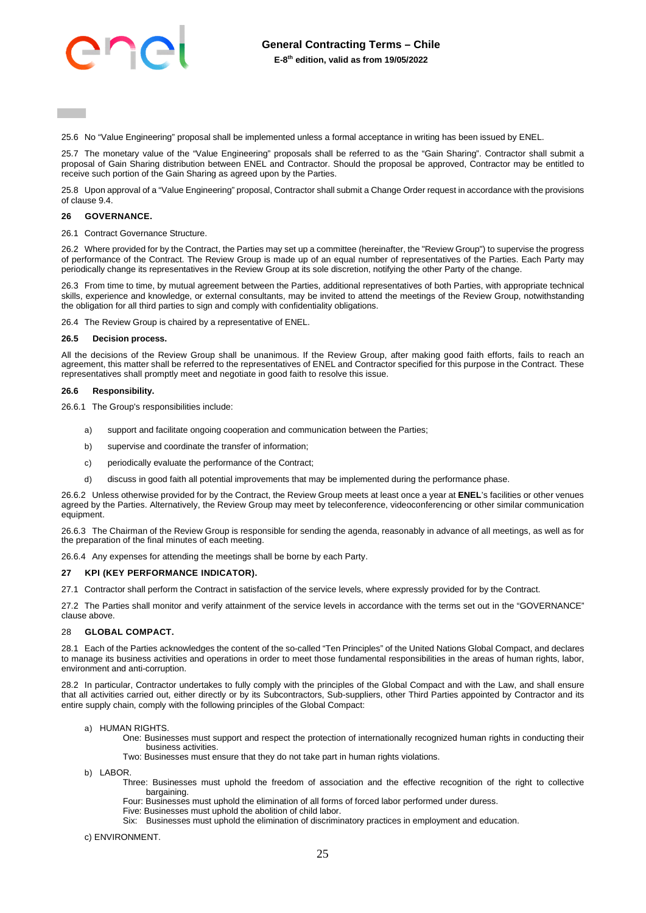

25.6 No "Value Engineering" proposal shall be implemented unless a formal acceptance in writing has been issued by ENEL.

25.7 The monetary value of the "Value Engineering" proposals shall be referred to as the "Gain Sharing". Contractor shall submit a proposal of Gain Sharing distribution between ENEL and Contractor. Should the proposal be approved, Contractor may be entitled to receive such portion of the Gain Sharing as agreed upon by the Parties.

25.8 Upon approval of a "Value Engineering" proposal, Contractor shall submit a Change Order request in accordance with the provisions of clause [9.4.](#page-8-0)

#### <span id="page-24-0"></span>**26 GOVERNANCE.**

26.1 Contract Governance Structure.

26.2 Where provided for by the Contract, the Parties may set up a committee (hereinafter, the "Review Group") to supervise the progress of performance of the Contract. The Review Group is made up of an equal number of representatives of the Parties. Each Party may periodically change its representatives in the Review Group at its sole discretion, notifying the other Party of the change.

26.3 From time to time, by mutual agreement between the Parties, additional representatives of both Parties, with appropriate technical skills, experience and knowledge, or external consultants, may be invited to attend the meetings of the Review Group, notwithstanding the obligation for all third parties to sign and comply with confidentiality obligations.

26.4 The Review Group is chaired by a representative of ENEL.

#### **26.5 Decision process.**

All the decisions of the Review Group shall be unanimous. If the Review Group, after making good faith efforts, fails to reach an agreement, this matter shall be referred to the representatives of ENEL and Contractor specified for this purpose in the Contract. These representatives shall promptly meet and negotiate in good faith to resolve this issue.

# **26.6 Responsibility.**

26.6.1 The Group's responsibilities include:

- a) support and facilitate ongoing cooperation and communication between the Parties;
- b) supervise and coordinate the transfer of information;
- c) periodically evaluate the performance of the Contract;
- d) discuss in good faith all potential improvements that may be implemented during the performance phase.

26.6.2 Unless otherwise provided for by the Contract, the Review Group meets at least once a year at **ENEL**'s facilities or other venues agreed by the Parties. Alternatively, the Review Group may meet by teleconference, videoconferencing or other similar communication equipment.

26.6.3 The Chairman of the Review Group is responsible for sending the agenda, reasonably in advance of all meetings, as well as for the preparation of the final minutes of each meeting.

26.6.4 Any expenses for attending the meetings shall be borne by each Party.

#### <span id="page-24-1"></span>**27 KPI (KEY PERFORMANCE INDICATOR).**

27.1 Contractor shall perform the Contract in satisfaction of the service levels, where expressly provided for by the Contract.

27.2 The Parties shall monitor and verify attainment of the service levels in accordance with the terms set out in the "GOVERNANCE" clause above.

#### <span id="page-24-2"></span>28 **GLOBAL COMPACT.**

28.1 Each of the Parties acknowledges the content of the so-called "Ten Principles" of the United Nations Global Compact, and declares to manage its business activities and operations in order to meet those fundamental responsibilities in the areas of human rights, labor, environment and anti-corruption.

28.2 In particular, Contractor undertakes to fully comply with the principles of the Global Compact and with the Law, and shall ensure that all activities carried out, either directly or by its Subcontractors, Sub-suppliers, other Third Parties appointed by Contractor and its entire supply chain, comply with the following principles of the Global Compact:

# a) HUMAN RIGHTS.

- One: Businesses must support and respect the protection of internationally recognized human rights in conducting their business activities.
- Two: Businesses must ensure that they do not take part in human rights violations.
- b) LABOR
	- Three: Businesses must uphold the freedom of association and the effective recognition of the right to collective hargaining.
	- Four: Businesses must uphold the elimination of all forms of forced labor performed under duress.
	- Five: Businesses must uphold the abolition of child labor.
	- Six: Businesses must uphold the elimination of discriminatory practices in employment and education.
- c) ENVIRONMENT.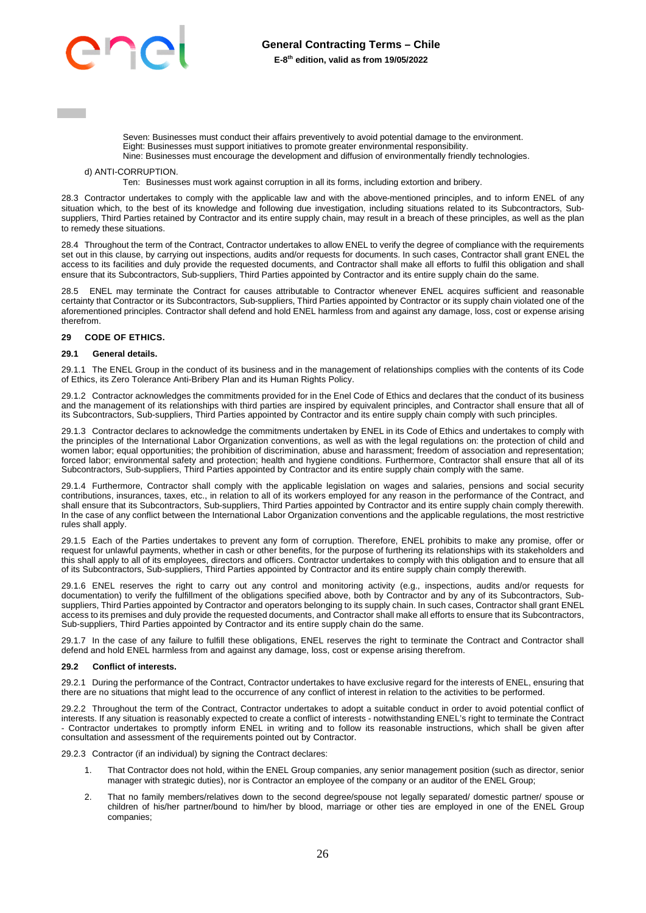

Seven: Businesses must conduct their affairs preventively to avoid potential damage to the environment. Eight: Businesses must support initiatives to promote greater environmental responsibility. Nine: Businesses must encourage the development and diffusion of environmentally friendly technologies.

### d) ANTI-CORRUPTION.

Ten: Businesses must work against corruption in all its forms, including extortion and bribery.

28.3 Contractor undertakes to comply with the applicable law and with the above-mentioned principles, and to inform ENEL of any situation which, to the best of its knowledge and following due investigation, including situations related to its Subcontractors, Subsuppliers, Third Parties retained by Contractor and its entire supply chain, may result in a breach of these principles, as well as the plan to remedy these situations.

28.4 Throughout the term of the Contract, Contractor undertakes to allow ENEL to verify the degree of compliance with the requirements set out in this clause, by carrying out inspections, audits and/or requests for documents. In such cases, Contractor shall grant ENEL the access to its facilities and duly provide the requested documents, and Contractor shall make all efforts to fulfil this obligation and shall ensure that its Subcontractors, Sub-suppliers, Third Parties appointed by Contractor and its entire supply chain do the same.

ENEL may terminate the Contract for causes attributable to Contractor whenever ENEL acquires sufficient and reasonable certainty that Contractor or its Subcontractors, Sub-suppliers, Third Parties appointed by Contractor or its supply chain violated one of the aforementioned principles. Contractor shall defend and hold ENEL harmless from and against any damage, loss, cost or expense arising therefrom.

#### <span id="page-25-0"></span>**29 CODE OF ETHICS.**

#### **29.1 General details.**

29.1.1 The ENEL Group in the conduct of its business and in the management of relationships complies with the contents of its Code of Ethics, its Zero Tolerance Anti-Bribery Plan and its Human Rights Policy.

29.1.2 Contractor acknowledges the commitments provided for in the Enel Code of Ethics and declares that the conduct of its business and the management of its relationships with third parties are inspired by equivalent principles, and Contractor shall ensure that all of its Subcontractors, Sub-suppliers, Third Parties appointed by Contractor and its entire supply chain comply with such principles.

29.1.3 Contractor declares to acknowledge the commitments undertaken by ENEL in its Code of Ethics and undertakes to comply with the principles of the International Labor Organization conventions, as well as with the legal regulations on: the protection of child and women labor; equal opportunities; the prohibition of discrimination, abuse and harassment; freedom of association and representation; forced labor; environmental safety and protection; health and hygiene conditions. Furthermore, Contractor shall ensure that all of its Subcontractors, Sub-suppliers, Third Parties appointed by Contractor and its entire supply chain comply with the same.

29.1.4 Furthermore, Contractor shall comply with the applicable legislation on wages and salaries, pensions and social security contributions, insurances, taxes, etc., in relation to all of its workers employed for any reason in the performance of the Contract, and shall ensure that its Subcontractors, Sub-suppliers, Third Parties appointed by Contractor and its entire supply chain comply therewith. In the case of any conflict between the International Labor Organization conventions and the applicable regulations, the most restrictive rules shall apply.

29.1.5 Each of the Parties undertakes to prevent any form of corruption. Therefore, ENEL prohibits to make any promise, offer or request for unlawful payments, whether in cash or other benefits, for the purpose of furthering its relationships with its stakeholders and this shall apply to all of its employees, directors and officers. Contractor undertakes to comply with this obligation and to ensure that all of its Subcontractors, Sub-suppliers, Third Parties appointed by Contractor and its entire supply chain comply therewith.

29.1.6 ENEL reserves the right to carry out any control and monitoring activity (e.g., inspections, audits and/or requests for documentation) to verify the fulfillment of the obligations specified above, both by Contractor and by any of its Subcontractors, Subsuppliers, Third Parties appointed by Contractor and operators belonging to its supply chain. In such cases, Contractor shall grant ENEL access to its premises and duly provide the requested documents, and Contractor shall make all efforts to ensure that its Subcontractors, Sub-suppliers, Third Parties appointed by Contractor and its entire supply chain do the same.

29.1.7 In the case of any failure to fulfill these obligations, ENEL reserves the right to terminate the Contract and Contractor shall defend and hold ENEL harmless from and against any damage, loss, cost or expense arising therefrom.

#### **29.2 Conflict of interests.**

29.2.1 During the performance of the Contract, Contractor undertakes to have exclusive regard for the interests of ENEL, ensuring that there are no situations that might lead to the occurrence of any conflict of interest in relation to the activities to be performed.

29.2.2 Throughout the term of the Contract, Contractor undertakes to adopt a suitable conduct in order to avoid potential conflict of interests. If any situation is reasonably expected to create a conflict of interests - notwithstanding ENEL's right to terminate the Contract - Contractor undertakes to promptly inform ENEL in writing and to follow its reasonable instructions, which shall be given after consultation and assessment of the requirements pointed out by Contractor.

29.2.3 Contractor (if an individual) by signing the Contract declares:

- 1. That Contractor does not hold, within the ENEL Group companies, any senior management position (such as director, senior manager with strategic duties), nor is Contractor an employee of the company or an auditor of the ENEL Group;
- That no family members/relatives down to the second degree/spouse not legally separated/ domestic partner/ spouse or children of his/her partner/bound to him/her by blood, marriage or other ties are employed in one of the ENEL Group companies;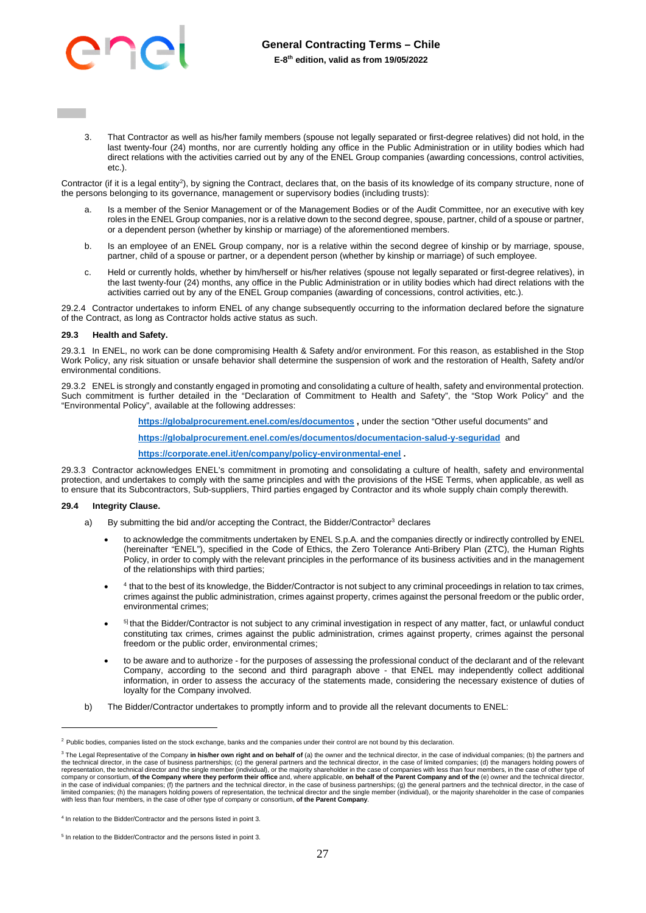

3. That Contractor as well as his/her family members (spouse not legally separated or first-degree relatives) did not hold, in the last twenty-four (24) months, nor are currently holding any office in the Public Administration or in utility bodies which had direct relations with the activities carried out by any of the ENEL Group companies (awarding concessions, control activities, etc.).

Contractor (if it is a legal entity<sup>2</sup>), by signing the Contract, declares that, on the basis of its knowledge of its company structure, none of the persons belonging to its governance, management or supervisory bodies (including trusts):

- Is a member of the Senior Management or of the Management Bodies or of the Audit Committee, nor an executive with key roles in the ENEL Group companies, nor is a relative down to the second degree, spouse, partner, child of a spouse or partner, or a dependent person (whether by kinship or marriage) of the aforementioned members.
- b. Is an employee of an ENEL Group company, nor is a relative within the second degree of kinship or by marriage, spouse, partner, child of a spouse or partner, or a dependent person (whether by kinship or marriage) of such employee.
- c. Held or currently holds, whether by him/herself or his/her relatives (spouse not legally separated or first-degree relatives), in the last twenty-four (24) months, any office in the Public Administration or in utility bodies which had direct relations with the activities carried out by any of the ENEL Group companies (awarding of concessions, control activities, etc.).

29.2.4 Contractor undertakes to inform ENEL of any change subsequently occurring to the information declared before the signature of the Contract, as long as Contractor holds active status as such.

#### **29.3 Health and Safety.**

29.3.1 In ENEL, no work can be done compromising Health & Safety and/or environment. For this reason, as established in the Stop Work Policy, any risk situation or unsafe behavior shall determine the suspension of work and the restoration of Health, Safety and/or environmental conditions.

29.3.2 ENEL is strongly and constantly engaged in promoting and consolidating a culture of health, safety and environmental protection. Such commitment is further detailed in the "Declaration of Commitment to Health and Safety", the "Stop Work Policy" and the "Environmental Policy", available at the following addresses:

**[https://globalprocurement.enel.com/es/documentos ,](https://globalprocurement.enel.com/es/documentos)** under the section "Other useful documents" and

**<https://globalprocurement.enel.com/es/documentos/documentacion-salud-y-seguridad>**and

**[https://corporate.enel.it/en/company/policy-environmental-enel .](https://corporate.enel.it/en/company/policy-environmental-enel)** 

29.3.3 Contractor acknowledges ENEL's commitment in promoting and consolidating a culture of health, safety and environmental protection, and undertakes to comply with the same principles and with the provisions of the HSE Terms, when applicable, as well as to ensure that its Subcontractors, Sub-suppliers, Third parties engaged by Contractor and its whole supply chain comply therewith.

#### **29.4 Integrity Clause.**

- a) By submitting the bid and/or accepting the Contract, the Bidder/Contractor<sup>3</sup> declares
	- to acknowledge the commitments undertaken by ENEL S.p.A. and the companies directly or indirectly controlled by ENEL (hereinafter "ENEL"), specified in the Code of Ethics, the Zero Tolerance Anti-Bribery Plan (ZTC), the Human Rights Policy, in order to comply with the relevant principles in the performance of its business activities and in the management of the relationships with third parties;
	- $\bullet$ 4 that to the best of its knowledge, the Bidder/Contractor is not subject to any criminal proceedings in relation to tax crimes, crimes against the public administration, crimes against property, crimes against the personal freedom or the public order, environmental crimes;
	- $\bullet$ <sup>5]</sup> that the Bidder/Contractor is not subject to any criminal investigation in respect of any matter, fact, or unlawful conduct constituting tax crimes, crimes against the public administration, crimes against property, crimes against the personal freedom or the public order, environmental crimes;
	- to be aware and to authorize for the purposes of assessing the professional conduct of the declarant and of the relevant Company, according to the second and third paragraph above - that ENEL may independently collect additional information, in order to assess the accuracy of the statements made, considering the necessary existence of duties of loyalty for the Company involved.
- b) The Bidder/Contractor undertakes to promptly inform and to provide all the relevant documents to ENEL:

<sup>&</sup>lt;sup>2</sup> Public bodies, companies listed on the stock exchange, banks and the companies under their control are not bound by this declaration.

<sup>&</sup>lt;sup>3</sup> The Legal Representative of the Company in his/her own right and on behalf of (a) the owner and the technical director, in the case of individual companies; (b) the partners and the technical director, in the case of business partnerships; (c) the general partners and the technical director, in the case of limited companies; (d) the managers holding powers of<br>representation, the technical director company or consortium, **of the Company where they perform their office** and, where applicable, **on behalf of the Parent Company and of the** (e) owner and the technical director,<br>in the case of individual companies; (f) the with less than four members, in the case of other type of company or consortium, **of the Parent Company**.

<sup>&</sup>lt;sup>4</sup> In relation to the Bidder/Contractor and the persons listed in point 3.

<sup>5</sup> In relation to the Bidder/Contractor and the persons listed in point 3.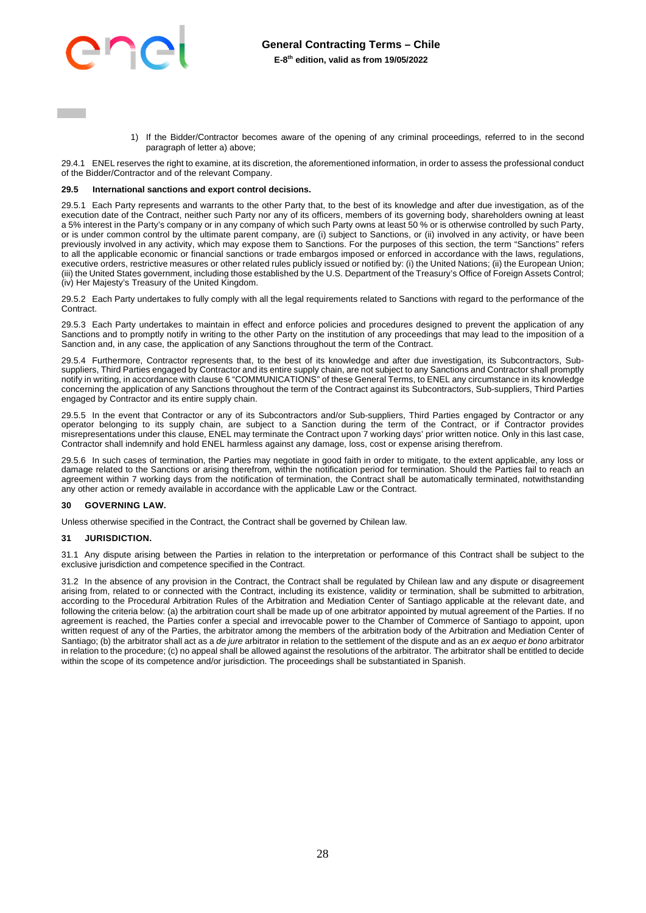

1) If the Bidder/Contractor becomes aware of the opening of any criminal proceedings, referred to in the second paragraph of letter a) above;

29.4.1 ENEL reserves the right to examine, at its discretion, the aforementioned information, in order to assess the professional conduct of the Bidder/Contractor and of the relevant Company.

### **29.5 International sanctions and export control decisions.**

29.5.1 Each Party represents and warrants to the other Party that, to the best of its knowledge and after due investigation, as of the execution date of the Contract, neither such Party nor any of its officers, members of its governing body, shareholders owning at least a 5% interest in the Party's company or in any company of which such Party owns at least 50 % or is otherwise controlled by such Party, or is under common control by the ultimate parent company, are (i) subject to Sanctions, or (ii) involved in any activity, or have been previously involved in any activity, which may expose them to Sanctions. For the purposes of this section, the term "Sanctions" refers to all the applicable economic or financial sanctions or trade embargos imposed or enforced in accordance with the laws, regulations, executive orders, restrictive measures or other related rules publicly issued or notified by: (i) the United Nations; (ii) the European Union; (iii) the United States government, including those established by the U.S. Department of the Treasury's Office of Foreign Assets Control; (iv) Her Majesty's Treasury of the United Kingdom.

29.5.2 Each Party undertakes to fully comply with all the legal requirements related to Sanctions with regard to the performance of the **Contract.** 

29.5.3 Each Party undertakes to maintain in effect and enforce policies and procedures designed to prevent the application of any Sanctions and to promptly notify in writing to the other Party on the institution of any proceedings that may lead to the imposition of a Sanction and, in any case, the application of any Sanctions throughout the term of the Contract.

29.5.4 Furthermore, Contractor represents that, to the best of its knowledge and after due investigation, its Subcontractors, Subsuppliers, Third Parties engaged by Contractor and its entire supply chain, are not subject to any Sanctions and Contractor shall promptly notify in writing, in accordance with clause 6 "COMMUNICATIONS" of these General Terms, to ENEL any circumstance in its knowledge concerning the application of any Sanctions throughout the term of the Contract against its Subcontractors, Sub-suppliers, Third Parties engaged by Contractor and its entire supply chain.

29.5.5 In the event that Contractor or any of its Subcontractors and/or Sub-suppliers, Third Parties engaged by Contractor or any operator belonging to its supply chain, are subject to a Sanction during the term of the Contract, or if Contractor provides misrepresentations under this clause, ENEL may terminate the Contract upon 7 working days' prior written notice. Only in this last case, Contractor shall indemnify and hold ENEL harmless against any damage, loss, cost or expense arising therefrom.

29.5.6 In such cases of termination, the Parties may negotiate in good faith in order to mitigate, to the extent applicable, any loss or damage related to the Sanctions or arising therefrom, within the notification period for termination. Should the Parties fail to reach an agreement within 7 working days from the notification of termination, the Contract shall be automatically terminated, notwithstanding any other action or remedy available in accordance with the applicable Law or the Contract.

#### <span id="page-27-0"></span>**30 GOVERNING LAW.**

Unless otherwise specified in the Contract, the Contract shall be governed by Chilean law.

# <span id="page-27-1"></span>**31 JURISDICTION.**

31.1 Any dispute arising between the Parties in relation to the interpretation or performance of this Contract shall be subject to the exclusive jurisdiction and competence specified in the Contract.

31.2 In the absence of any provision in the Contract, the Contract shall be regulated by Chilean law and any dispute or disagreement arising from, related to or connected with the Contract, including its existence, validity or termination, shall be submitted to arbitration, according to the Procedural Arbitration Rules of the Arbitration and Mediation Center of Santiago applicable at the relevant date, and following the criteria below: (a) the arbitration court shall be made up of one arbitrator appointed by mutual agreement of the Parties. If no agreement is reached, the Parties confer a special and irrevocable power to the Chamber of Commerce of Santiago to appoint, upon written request of any of the Parties, the arbitrator among the members of the arbitration body of the Arbitration and Mediation Center of Santiago; (b) the arbitrator shall act as a *de jure* arbitrator in relation to the settlement of the dispute and as an *ex aequo et bono* arbitrator in relation to the procedure; (c) no appeal shall be allowed against the resolutions of the arbitrator. The arbitrator shall be entitled to decide within the scope of its competence and/or jurisdiction. The proceedings shall be substantiated in Spanish.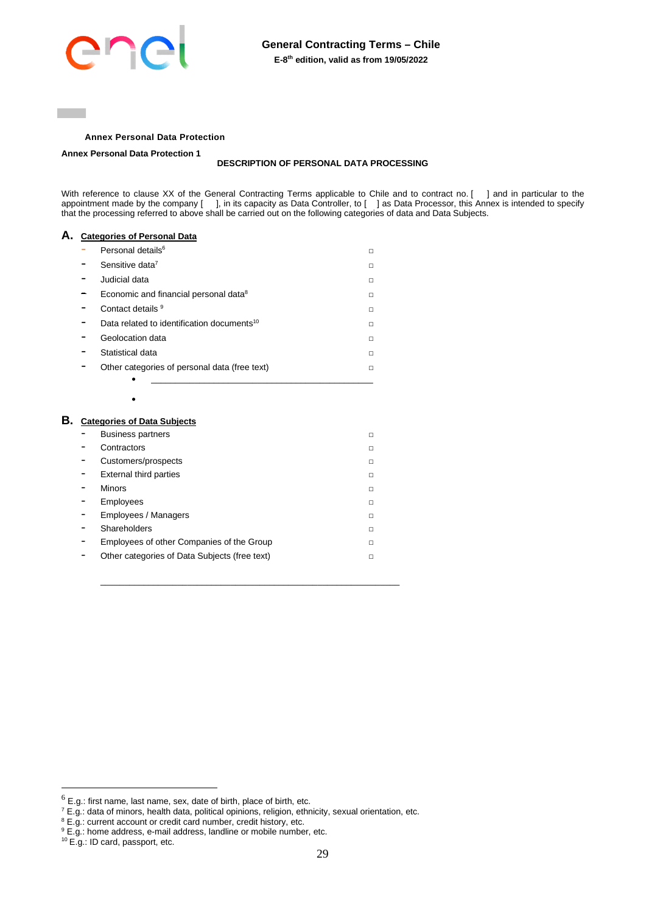

# **Annex Personal Data Protection**

<span id="page-28-0"></span>**Annex Personal Data Protection 1**

#### **DESCRIPTION OF PERSONAL DATA PROCESSING**

With reference to clause XX of the General Contracting Terms applicable to Chile and to contract no. [ ] and in particular to the appointment made by the company [ ], in its capacity as Data Controller, to [ ] as Data Processor, this Annex is intended to specify that the processing referred to above shall be carried out on the following categories of data and Data Subjects.

# **A. Categories of Personal Data**  Personal details<sup>6</sup> □ - Sensitive data<sup>7</sup> □ - Judicial data □  $-$  Economic and financial personal data<sup>8</sup> □ - Contact details 9 □ Data related to identification documents<sup>10</sup> □ - Geolocation data □ - Statistical data □ - Other categories of personal data (free text) □ \_\_\_\_\_\_\_\_\_\_\_\_\_\_\_\_\_\_\_\_\_\_\_\_\_\_\_\_\_\_\_\_\_\_\_\_\_\_\_\_\_\_\_\_\_\_  $\bullet$

# **B. Categories of Data Subjects**

| <b>Business partners</b>                      | п |
|-----------------------------------------------|---|
| Contractors                                   | п |
| Customers/prospects                           | п |
| External third parties                        | п |
| <b>Minors</b>                                 | п |
| Employees                                     | п |
| Employees / Managers                          | п |
| Shareholders                                  | п |
| Employees of other Companies of the Group     | п |
| Other categories of Data Subjects (free text) | п |
|                                               |   |

\_\_\_\_\_\_\_\_\_\_\_\_\_\_\_\_\_\_\_\_\_\_\_\_\_\_\_\_\_\_\_\_\_\_\_\_\_\_\_\_\_\_\_\_\_\_\_\_\_\_\_\_\_\_\_\_\_\_\_\_\_\_

 $<sup>6</sup>$  E.g.: first name, last name, sex, date of birth, place of birth, etc.</sup>

 $^7$  E.g.: data of minors, health data, political opinions, religion, ethnicity, sexual orientation, etc.

<sup>8</sup> E.g.: current account or credit card number, credit history, etc.

<sup>&</sup>lt;sup>9</sup> E.g.: home address, e-mail address, landline or mobile number, etc.

<sup>10</sup> E.g.: ID card, passport, etc.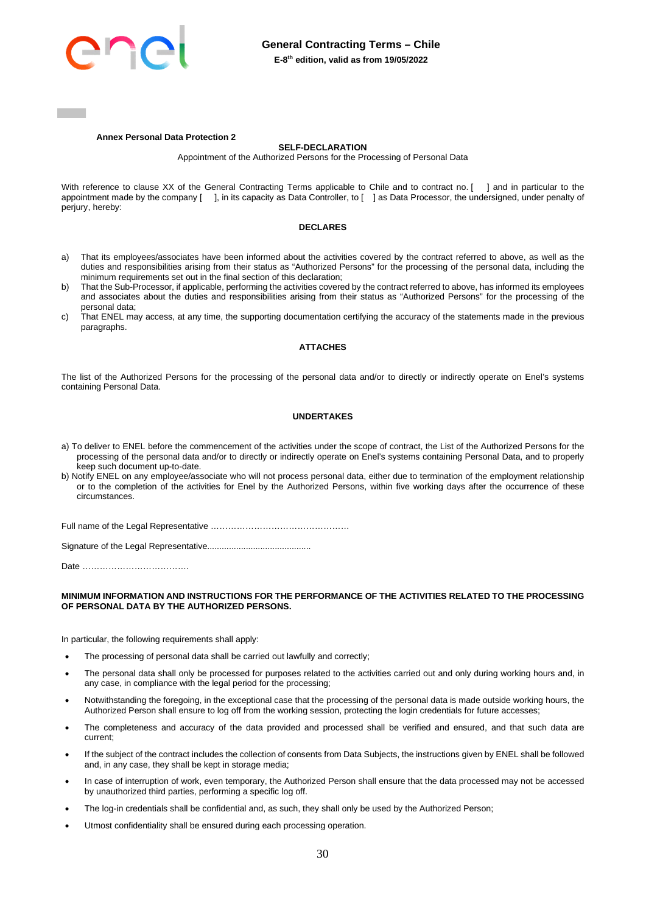

#### **Annex Personal Data Protection 2**

#### **SELF-DECLARATION**

Appointment of the Authorized Persons for the Processing of Personal Data

With reference to clause XX of the General Contracting Terms applicable to Chile and to contract no. [ ] and in particular to the appointment made by the company [ ], in its capacity as Data Controller, to [ ] as Data Processor, the undersigned, under penalty of perjury, hereby:

#### **DECLARES**

- a) That its employees/associates have been informed about the activities covered by the contract referred to above, as well as the duties and responsibilities arising from their status as "Authorized Persons" for the processing of the personal data, including the minimum requirements set out in the final section of this declaration;
- b) That the Sub-Processor, if applicable, performing the activities covered by the contract referred to above, has informed its employees and associates about the duties and responsibilities arising from their status as "Authorized Persons" for the processing of the personal data;
- c) That ENEL may access, at any time, the supporting documentation certifying the accuracy of the statements made in the previous paragraphs.

#### **ATTACHES**

The list of the Authorized Persons for the processing of the personal data and/or to directly or indirectly operate on Enel's systems containing Personal Data.

#### **UNDERTAKES**

- a) To deliver to ENEL before the commencement of the activities under the scope of contract, the List of the Authorized Persons for the processing of the personal data and/or to directly or indirectly operate on Enel's systems containing Personal Data, and to properly keep such document up-to-date.
- b) Notify ENEL on any employee/associate who will not process personal data, either due to termination of the employment relationship or to the completion of the activities for Enel by the Authorized Persons, within five working days after the occurrence of these circumstances.

Full name of the Legal Representative …………………………………………

Signature of the Legal Representative...........................................

Date ……………………………….

#### **MINIMUM INFORMATION AND INSTRUCTIONS FOR THE PERFORMANCE OF THE ACTIVITIES RELATED TO THE PROCESSING OF PERSONAL DATA BY THE AUTHORIZED PERSONS.**

In particular, the following requirements shall apply:

- The processing of personal data shall be carried out lawfully and correctly;
- The personal data shall only be processed for purposes related to the activities carried out and only during working hours and, in any case, in compliance with the legal period for the processing;
- Notwithstanding the foregoing, in the exceptional case that the processing of the personal data is made outside working hours, the Authorized Person shall ensure to log off from the working session, protecting the login credentials for future accesses;
- The completeness and accuracy of the data provided and processed shall be verified and ensured, and that such data are current;
- If the subject of the contract includes the collection of consents from Data Subjects, the instructions given by ENEL shall be followed and, in any case, they shall be kept in storage media;
- In case of interruption of work, even temporary, the Authorized Person shall ensure that the data processed may not be accessed by unauthorized third parties, performing a specific log off.
- The log-in credentials shall be confidential and, as such, they shall only be used by the Authorized Person;
- Utmost confidentiality shall be ensured during each processing operation.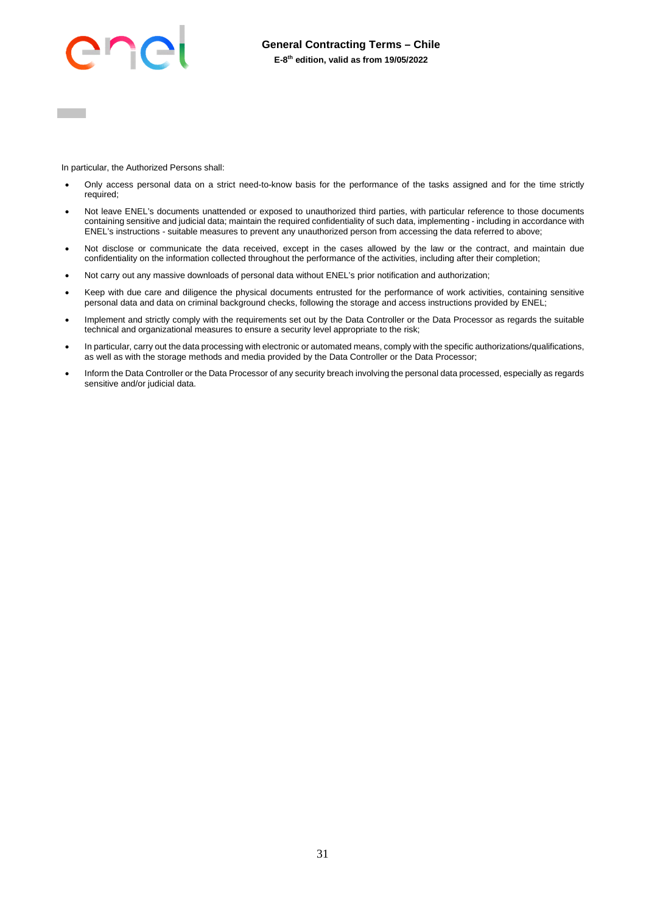

In particular, the Authorized Persons shall:

- Only access personal data on a strict need-to-know basis for the performance of the tasks assigned and for the time strictly required;
- Not leave ENEL's documents unattended or exposed to unauthorized third parties, with particular reference to those documents containing sensitive and judicial data; maintain the required confidentiality of such data, implementing - including in accordance with ENEL's instructions - suitable measures to prevent any unauthorized person from accessing the data referred to above;
- Not disclose or communicate the data received, except in the cases allowed by the law or the contract, and maintain due confidentiality on the information collected throughout the performance of the activities, including after their completion;
- Not carry out any massive downloads of personal data without ENEL's prior notification and authorization;
- Keep with due care and diligence the physical documents entrusted for the performance of work activities, containing sensitive personal data and data on criminal background checks, following the storage and access instructions provided by ENEL;
- Implement and strictly comply with the requirements set out by the Data Controller or the Data Processor as regards the suitable technical and organizational measures to ensure a security level appropriate to the risk;
- In particular, carry out the data processing with electronic or automated means, comply with the specific authorizations/qualifications, as well as with the storage methods and media provided by the Data Controller or the Data Processor;
- Inform the Data Controller or the Data Processor of any security breach involving the personal data processed, especially as regards sensitive and/or judicial data.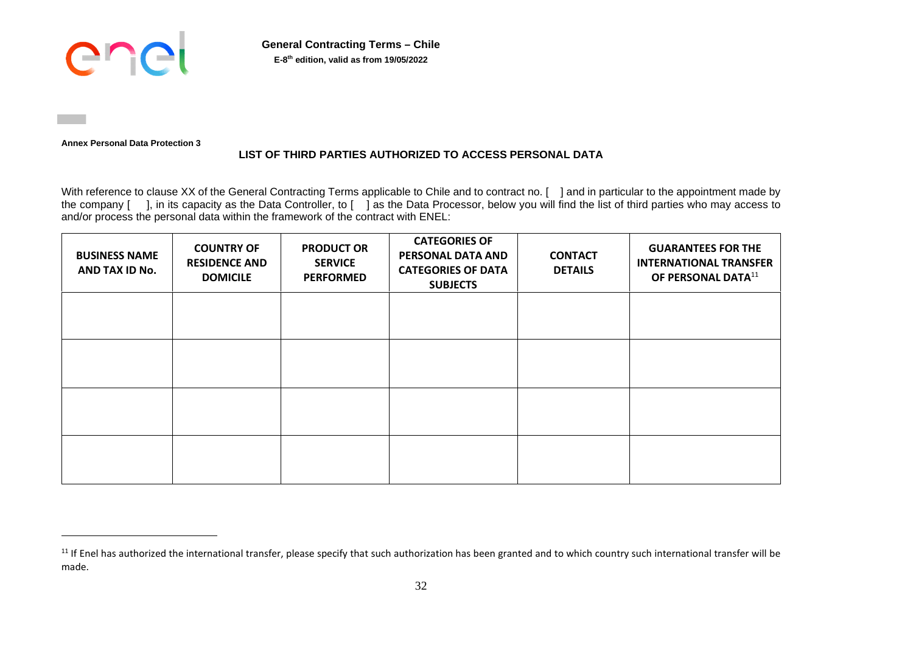

**General Contracting Terms – Chile E-8 th edition, valid as from 19/05/2022**

**Annex Personal Data Protection 3** 

# **LIST OF THIRD PARTIES AUTHORIZED TO ACCESS PERSONAL DATA**

With reference to clause XX of the General Contracting Terms applicable to Chile and to contract no. [ ] and in particular to the appointment made by the company [ ], in its capacity as the Data Controller, to [ ] as the Data Processor, below you will find the list of third parties who may access to and/or process the personal data within the framework of the contract with ENEL:

| <b>BUSINESS NAME</b><br>AND TAX ID No. | <b>COUNTRY OF</b><br><b>RESIDENCE AND</b><br><b>DOMICILE</b> | <b>PRODUCT OR</b><br><b>SERVICE</b><br><b>PERFORMED</b> | <b>CATEGORIES OF</b><br>PERSONAL DATA AND<br><b>CATEGORIES OF DATA</b><br><b>SUBJECTS</b> | <b>CONTACT</b><br><b>DETAILS</b> | <b>GUARANTEES FOR THE</b><br><b>INTERNATIONAL TRANSFER</b><br>OF PERSONAL DATA <sup>11</sup> |
|----------------------------------------|--------------------------------------------------------------|---------------------------------------------------------|-------------------------------------------------------------------------------------------|----------------------------------|----------------------------------------------------------------------------------------------|
|                                        |                                                              |                                                         |                                                                                           |                                  |                                                                                              |
|                                        |                                                              |                                                         |                                                                                           |                                  |                                                                                              |
|                                        |                                                              |                                                         |                                                                                           |                                  |                                                                                              |
|                                        |                                                              |                                                         |                                                                                           |                                  |                                                                                              |

<sup>&</sup>lt;sup>11</sup> If Enel has authorized the international transfer, please specify that such authorization has been granted and to which country such international transfer will be made.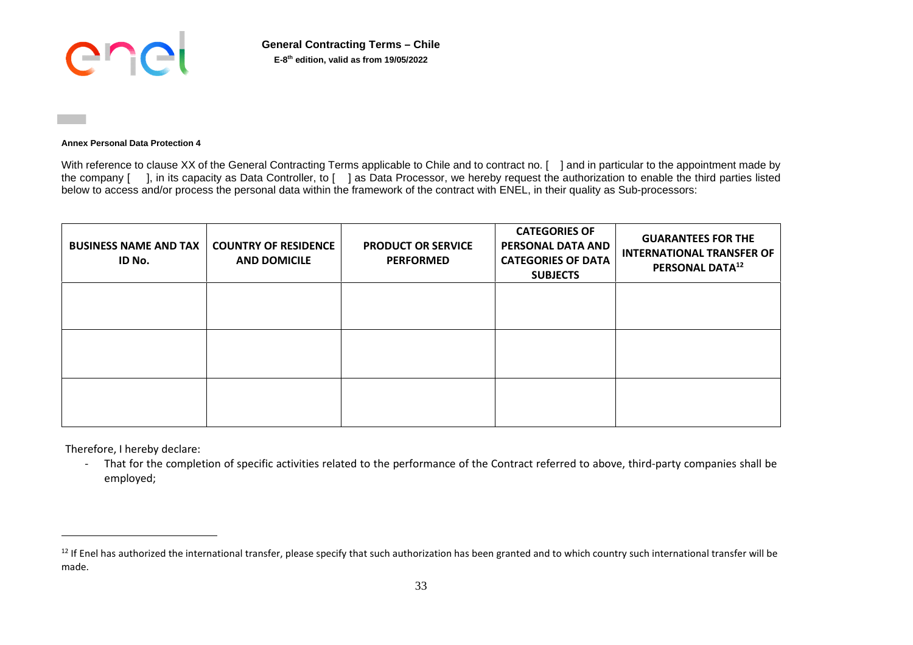

**General Contracting Terms – Chile E-8 th edition, valid as from 19/05/2022**

# **Annex Personal Data Protection 4**

With reference to clause XX of the General Contracting Terms applicable to Chile and to contract no. [ ] and in particular to the appointment made by the company [ ], in its capacity as Data Controller, to [ ] as Data Processor, we hereby request the authorization to enable the third parties listed below to access and/or process the personal data within the framework of the contract with ENEL, in their quality as Sub-processors:

| <b>BUSINESS NAME AND TAX</b><br>ID No. | <b>COUNTRY OF RESIDENCE</b><br><b>AND DOMICILE</b> | <b>PRODUCT OR SERVICE</b><br><b>PERFORMED</b> | <b>CATEGORIES OF</b><br>PERSONAL DATA AND<br><b>CATEGORIES OF DATA</b><br><b>SUBJECTS</b> | <b>GUARANTEES FOR THE</b><br><b>INTERNATIONAL TRANSFER OF</b><br>PERSONAL DATA <sup>12</sup> |
|----------------------------------------|----------------------------------------------------|-----------------------------------------------|-------------------------------------------------------------------------------------------|----------------------------------------------------------------------------------------------|
|                                        |                                                    |                                               |                                                                                           |                                                                                              |
|                                        |                                                    |                                               |                                                                                           |                                                                                              |
|                                        |                                                    |                                               |                                                                                           |                                                                                              |

Therefore, I hereby declare:

- That for the completion of specific activities related to the performance of the Contract referred to above, third-party companies shall be employed;

<sup>&</sup>lt;sup>12</sup> If Enel has authorized the international transfer, please specify that such authorization has been granted and to which country such international transfer will be made.